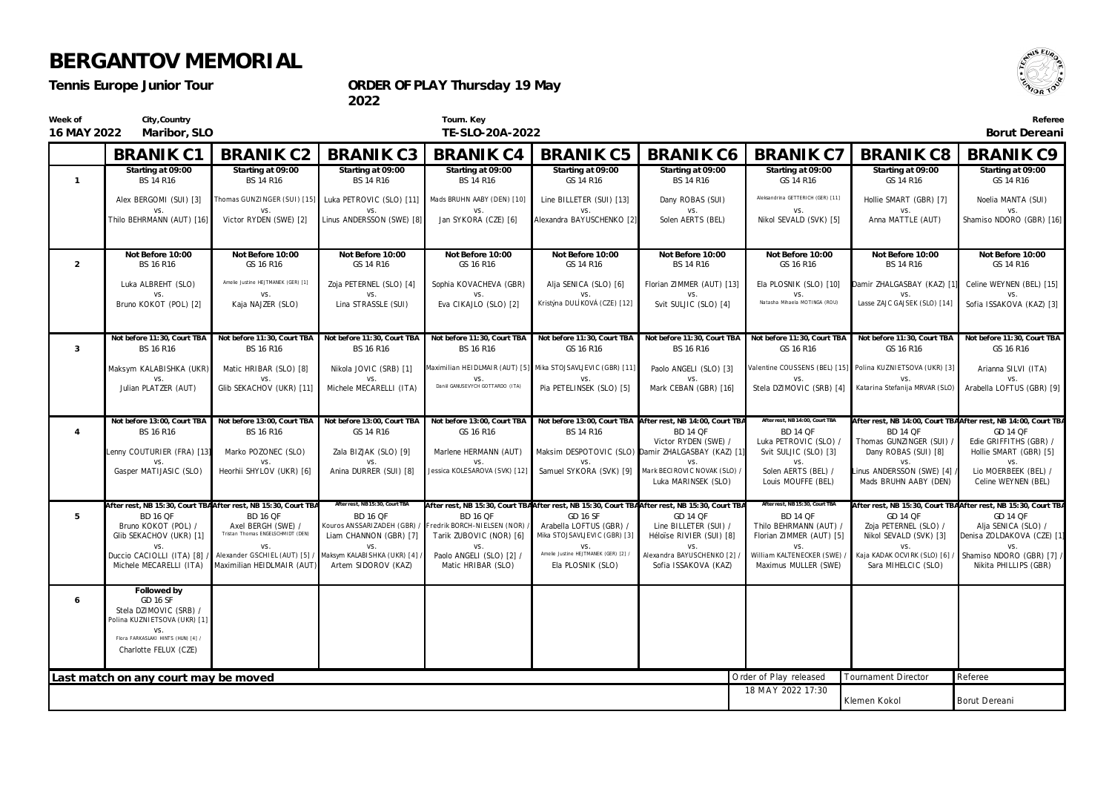*Tennis Europe Junior Tour*

**ORDER OF PLAY Thursday 19 May**

**2022**

| Week of<br>16 MAY 2022 | City, Country<br>Maribor, SLO                                                            |                                                                                   |                                                                                        | Tourn. Key<br>TE-SLO-20A-2022                         |                                                                                                                 |                                                                                  |                                                     |                                                             | Referee<br>Borut Dereani                                                          |
|------------------------|------------------------------------------------------------------------------------------|-----------------------------------------------------------------------------------|----------------------------------------------------------------------------------------|-------------------------------------------------------|-----------------------------------------------------------------------------------------------------------------|----------------------------------------------------------------------------------|-----------------------------------------------------|-------------------------------------------------------------|-----------------------------------------------------------------------------------|
|                        | <b>BRANIK C1</b>                                                                         | <b>BRANIK C2</b>                                                                  | <b>BRANIK C3</b>                                                                       | <b>BRANIK C4</b>                                      | <b>BRANIK C5</b>                                                                                                | <b>BRANIK C6</b>                                                                 | <b>BRANIK C7</b>                                    | <b>BRANIK C8</b>                                            | <b>BRANIK C9</b>                                                                  |
| $\mathbf{1}$           | Starting at 09:00<br>BS 14 R16                                                           | Starting at 09:00<br>BS 14 R16                                                    | Starting at 09:00<br>BS 14 R16                                                         | Starting at 09:00<br>BS 14 R16                        | Starting at 09:00<br>GS 14 R16                                                                                  | Starting at 09:00<br>BS 14 R16                                                   | Starting at 09:00<br>GS 14 R16                      | Starting at 09:00<br>GS 14 R16                              | Starting at 09:00<br>GS 14 R16                                                    |
|                        | Alex BERGOMI (SUI) [3]<br>VS.                                                            | VS.                                                                               | Thomas GUNZINGER (SUI) [15] Luka PETROVIC (SLO) [11] Mads BRUHN AABY (DEN) [10]<br>VS. | VS.                                                   | Line BILLETER (SUI) [13]<br>VS.                                                                                 | Dany ROBAS (SUI)<br>VS.                                                          | Aleksandrina GETTERICH (GER) [11]<br>VS.            | Hollie SMART (GBR) [7]<br><b>VS</b>                         | Noelia MANTA (SUI)<br>VS.                                                         |
|                        | Thilo BEHRMANN (AUT) [16]                                                                | Victor RYDEN (SWE) [2]                                                            | Linus ANDERSSON (SWE) [8]                                                              | Jan SYKORA (CZE) [6]                                  | Alexandra BAYUSCHENKO [2]                                                                                       | Solen AERTS (BEL)                                                                | Nikol SEVALD (SVK) [5]                              | Anna MATTLE (AUT)                                           | Shamiso NDORO (GBR) [16]                                                          |
| $\overline{2}$         | Not Before 10:00<br>BS 16 R16                                                            | Not Before 10:00<br>GS 16 R16                                                     | Not Before 10:00<br>GS 14 R16                                                          | Not Before 10:00<br>GS 16 R16                         | Not Before 10:00<br>GS 14 R16                                                                                   | Not Before 10:00<br>BS 14 R16                                                    | Not Before 10:00<br>GS 16 R16                       | Not Before 10:00<br>BS 14 R16                               | Not Before 10:00<br>GS 14 R16                                                     |
|                        | Luka ALBREHT (SLO)                                                                       | Amelie Justine HEJTMANEK (GER) [1]                                                | Zoja PETERNEL (SLO) [4]                                                                | Sophia KOVACHEVA (GBR)                                | Alja SENICA (SLO) [6]                                                                                           | Florian ZIMMER (AUT) [13]                                                        | Ela PLOSNIK (SLO) [10]                              | Damir ZHALGASBAY (KAZ) [1]                                  | Celine WEYNEN (BEL) [15]                                                          |
|                        | Bruno KOKOT (POL) [2]                                                                    | Kaja NAJZER (SLO)                                                                 | Lina STRASSLE (SUI)                                                                    | Eva CIKAJLO (SLO) [2]                                 | Kristýna DULÍKOVÁ (CZE) [12]                                                                                    | Svit SULJIC (SLO) [4]                                                            | VS.<br>Natasha Mihaela MOTINGA (ROU)                | Lasse ZAJC GAJSEK (SLO) [14]                                | VS<br>Sofia ISSAKOVA (KAZ) [3]                                                    |
| 3                      | Not before 11:30, Court TBA<br>BS 16 R16                                                 | Not before 11:30, Court TBA<br>BS 16 R16                                          | Not before 11:30, Court TBA<br>BS 16 R16                                               | Not before 11:30, Court TBA<br>BS 16 R16              | Not before 11:30, Court TBA<br>GS 16 R16                                                                        | Not before 11:30, Court TBA<br>BS 16 R16                                         | Not before 11:30, Court TBA<br>GS 16 R16            | Not before 11:30, Court TBA<br>GS 16 R16                    | Not before 11:30, Court TBA<br>GS 16 R16                                          |
|                        | Maksym KALABISHKA (UKR)                                                                  | Matic HRIBAR (SLO) [8]                                                            | Nikola JOVIC (SRB) [1]                                                                 |                                                       | Maximilian HEIDLMAIR (AUT) [5] Mika STOJSAVLJEVIC (GBR) [11]                                                    | Paolo ANGELI (SLO) [3]                                                           |                                                     | Valentine COUSSENS (BEL) [15] Polina KUZNIETSOVA (UKR) [3]  | Arianna SILVI (ITA)                                                               |
|                        | Julian PLATZER (AUT)                                                                     | Glib SEKACHOV (UKR) [11]                                                          | Michele MECARELLI (ITA)                                                                | VS.<br>Daniil GANUSEVYCH GOTTARDO (ITA)               | Pia PETELINSEK (SLO) [5]                                                                                        | Mark CEBAN (GBR) [16]                                                            | Stela DZIMOVIC (SRB) [4]                            | Katarina Stefanija MRVAR (SLO)                              | Arabella LOFTUS (GBR) [9]                                                         |
| $\overline{4}$         | Not before 13:00, Court TBA<br>BS 16 R16                                                 | Not before 13:00, Court TBA<br>BS 16 R16                                          | Not before 13:00, Court TBA<br>GS 14 R16                                               | Not before 13:00, Court TBA<br>GS 16 R16              | BS 14 R16                                                                                                       | Not before 13:00, Court TBA After rest, NB 14:00, Court TB<br><b>BD 14 QF</b>    | After rest, NB14:00, Court TBA<br><b>BD 14 QF</b>   | <b>BD 14 QF</b>                                             | After rest, NB 14:00, Court TBAAfter rest, NB 14:00, Court TBA<br><b>GD 14 QF</b> |
|                        | Lenny COUTURIER (FRA) [13]                                                               | Marko POZONEC (SLO)                                                               | Zala BIZJAK (SLO) [9]                                                                  | Marlene HERMANN (AUT)                                 |                                                                                                                 | Victor RYDEN (SWE) /<br>Maksim DESPOTOVIC (SLO) Damir ZHALGASBAY (KAZ) [1]       | Luka PETROVIC (SLO) /<br>Svit SULJIC (SLO) [3]      | Thomas GUNZINGER (SUI) /<br>Dany ROBAS (SUI) [8]            | Edie GRIFFITHS (GBR) /<br>Hollie SMART (GBR) [5]                                  |
|                        | VS.<br>Gasper MATIJASIC (SLO)                                                            | VS.<br>Heorhii SHYLOV (UKR) [6]                                                   | VS.<br>Anina DURRER (SUI) [8]                                                          | VS.<br>Jessica KOLESAROVA (SVK) [12]                  | VS.                                                                                                             | VS.<br>Samuel SYKORA (SVK) [9] Mark BECIROVIC NOVAK (SLO)<br>Luka MARINSEK (SLO) | VS.<br>Solen AERTS (BEL) /<br>Louis MOUFFE (BEL)    | VS.<br>inus ANDERSSON (SWE) [4]<br>Mads BRUHN AABY (DEN)    | VS.<br>Lio MOERBEEK (BEL) /<br>Celine WEYNEN (BEL)                                |
| 5                      | <b>BD 16 QF</b>                                                                          | After rest, NB 15:30, Court TBA After rest, NB 15:30, Court TB<br><b>BD 16 QF</b> | After rest, NB 15:30, Court TBA<br><b>BD 16 QF</b>                                     | <b>BD 16 QF</b>                                       | After rest, NB 15:30, Court TBAAfter rest, NB 15:30, Court TBAAfter rest, NB 15:30, Court TB<br><b>GD 16 SF</b> | GD 14 QF                                                                         | After rest, NB15:30, Court TBA<br><b>BD 14 QF</b>   | GD 14 QF                                                    | After rest, NB 15:30, Court TBAAfter rest, NB 15:30, Court TBA<br>GD 14 QF        |
|                        | Bruno KOKOT (POL) /<br>Glib SEKACHOV (UKR) [1]                                           | Axel BERGH (SWE) /<br>Tristan Thomas ENGELSCHMIDT (DEN)                           | Kouros ANSSARIZADEH (GBR) /<br>Liam CHANNON (GBR) [7]                                  | redrik BORCH-NIELSEN (NOR)<br>Tarik ZUBOVIC (NOR) [6] | Arabella LOFTUS (GBR) /<br>Mika STOJSAVLJEVIC (GBR) [3]                                                         | Line BILLETER (SUI) /<br>Héloïse RIVIER (SUI) [8]                                | Thilo BEHRMANN (AUT) /<br>Florian ZIMMER (AUT) [5]  | Zoja PETERNEL (SLO) /<br>Nikol SEVALD (SVK) [3]             | Alja SENICA (SLO) /<br>Denisa ZOLDAKOVA (CZE) [1]                                 |
|                        | Duccio CACIOLLI (ITA) [8]<br>Michele MECARELLI (ITA)                                     | Alexander GSCHIEL (AUT) [5] /<br>Maximilian HEIDLMAIR (AUT)                       | Maksym KALABISHKA (UKR) [4] /<br>Artem SIDOROV (KAZ)                                   | VS.<br>Paolo ANGELI (SLO) [2]<br>Matic HRIBAR (SLO)   | VS.<br>Amelie Justine HEJTMANEK (GER) [2] /<br>Ela PLOSNIK (SLO)                                                | VS.<br>Alexandra BAYUSCHENKO [2].<br>Sofia ISSAKOVA (KAZ)                        | William KALTENECKER (SWE) /<br>Maximus MULLER (SWE) | VS.<br>Kaja KADAK OCVIRK (SLO) [6] /<br>Sara MIHELCIC (SLO) | VS.<br>Shamiso NDORO (GBR) [7] /<br>Nikita PHILLIPS (GBR)                         |
| 6                      | Followed by<br><b>GD 16 SF</b><br>Stela DZIMOVIC (SRB) /<br>Polina KUZNIETSOVA (UKR) [1] |                                                                                   |                                                                                        |                                                       |                                                                                                                 |                                                                                  |                                                     |                                                             |                                                                                   |
|                        | Flora FARKASLAKI HINTS (HUN) [4] /<br>Charlotte FELUX (CZE)                              |                                                                                   |                                                                                        |                                                       |                                                                                                                 |                                                                                  |                                                     |                                                             |                                                                                   |
|                        | Last match on any court may be moved                                                     |                                                                                   |                                                                                        |                                                       |                                                                                                                 |                                                                                  | Order of Play released                              | <b>Tournament Director</b>                                  | Referee                                                                           |
|                        |                                                                                          |                                                                                   |                                                                                        |                                                       |                                                                                                                 |                                                                                  | 18 MAY 2022 17:30                                   | Klemen Kokol                                                | Borut Dereani                                                                     |

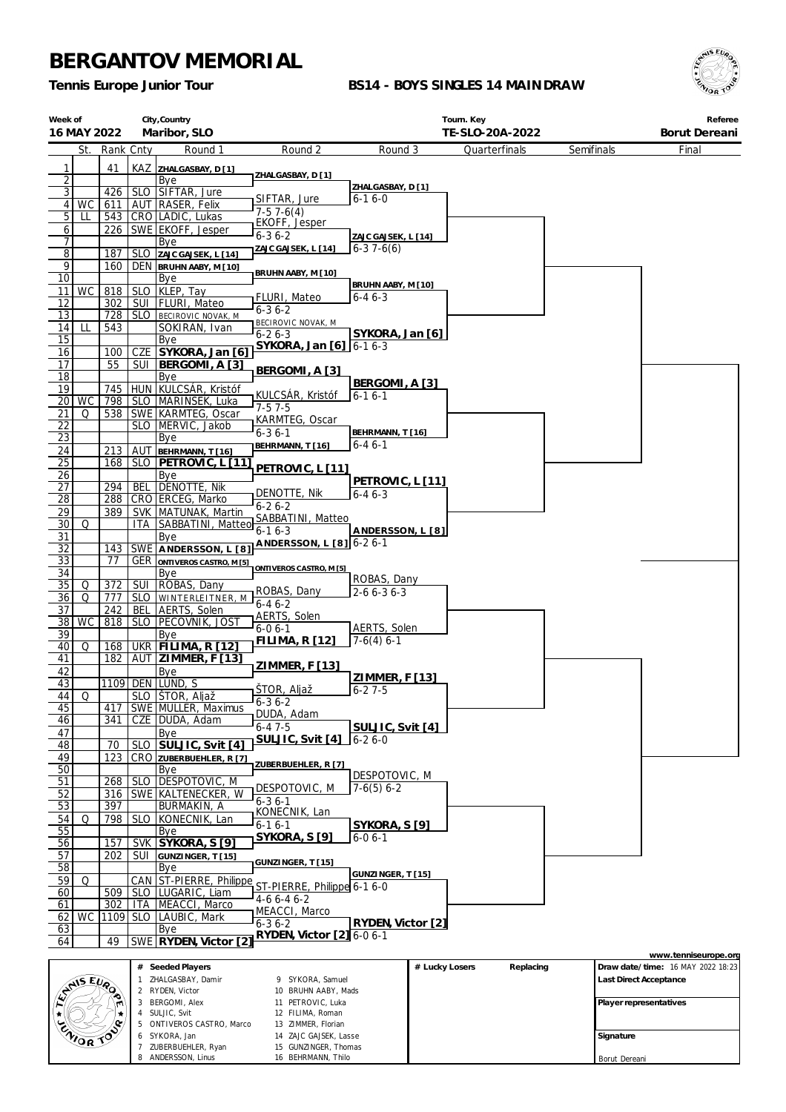ZIMMER, Florian ZAJC GAJSEK, Lasse GUNZINGER, Thomas BEHRMANN, Thilo

6 SYKORA, Jan 7 ZUBERBUEHLER, Ryan 8 ANDERSSON, Linus

*Tennis Europe Junior Tour*

### **BS14 - BOYS SINGLES 14 MAINDRAW**



| Week of                      | City, Country<br>16 MAY 2022<br>Maribor, SLO |            |                     |                                            |                                               | Tourn. Key                         | TE-SLO-20A-2022 |               |            | Referee<br>Borut Dereani |                                   |
|------------------------------|----------------------------------------------|------------|---------------------|--------------------------------------------|-----------------------------------------------|------------------------------------|-----------------|---------------|------------|--------------------------|-----------------------------------|
|                              | St.                                          |            | Rank Cnty           | Round 1                                    | Round 2                                       | Round 3                            |                 | Quarterfinals | Semifinals |                          | Final                             |
|                              |                                              |            |                     |                                            |                                               |                                    |                 |               |            |                          |                                   |
| 1<br>$\overline{\mathbf{c}}$ |                                              | 41         |                     | KAZ ZHALGASBAY, D [1]<br>Bye               | ZHALGASBAY, D [1]                             |                                    |                 |               |            |                          |                                   |
| $\overline{3}$               |                                              | 426        |                     | SLO SIFTAR, Jure                           | SIFTAR, Jure                                  | ZHALGASBAY, D [1]<br>$6 - 16 - 0$  |                 |               |            |                          |                                   |
| 4 <sup>1</sup>               | WC                                           | 611        |                     | AUT RASER, Felix                           | $7-57-6(4)$                                   |                                    |                 |               |            |                          |                                   |
| 5                            | LL                                           | 543        |                     | CRO   LADIC, Lukas                         | EKOFF, Jesper                                 |                                    |                 |               |            |                          |                                   |
| 6<br>7                       |                                              | 226        |                     | SWE EKOFF, Jesper<br>Bye                   | $6 - 36 - 2$                                  | ZAJC GAJSEK, L [14]                |                 |               |            |                          |                                   |
| $\overline{8}$               |                                              | 187        |                     | SLO ZAJC GAJSEK, L [14]                    | ZAJC GAJSEK, L [14]                           | $6 - 37 - 6(6)$                    |                 |               |            |                          |                                   |
| 9                            |                                              | 160        |                     | DEN BRUHN AABY, M [10]                     | BRUHN AABY, M [10]                            |                                    |                 |               |            |                          |                                   |
| 10                           |                                              |            |                     | Bye                                        |                                               | BRUHN AABY, M [10]                 |                 |               |            |                          |                                   |
| 11<br>12                     | <b>WC</b>                                    | 818<br>302 |                     | SLO KLEP, Tay<br>SUI   FLURI, Mateo        | FLURI, Mateo                                  | $6 - 46 - 3$                       |                 |               |            |                          |                                   |
| 13                           |                                              | 728        |                     | SLO BECIROVIC NOVAK, M                     | $6 - 36 - 2$                                  |                                    |                 |               |            |                          |                                   |
| 14                           | LL                                           | 543        |                     | SOKIRAN, Ivan                              | BECIROVIC NOVAK, M                            |                                    |                 |               |            |                          |                                   |
| 15                           |                                              |            |                     | Bye                                        | $6 - 26 - 3$<br>SYKORA, Jan [6]   6-1 6-3     | SYKORA, Jan [6]                    |                 |               |            |                          |                                   |
| 16                           |                                              | 100        |                     | CZE SYKORA, Jan [6]                        |                                               |                                    |                 |               |            |                          |                                   |
| 17<br>18                     |                                              | 55         | SUI                 | BERGOMI, A [3]<br>Bye                      | BERGOMI, A [3]                                |                                    |                 |               |            |                          |                                   |
| 19                           |                                              | 745        |                     | HUN KULCSÁR, Kristóf                       |                                               | BERGOMI, A [3]                     |                 |               |            |                          |                                   |
| 20                           | <b>WC</b>                                    | 798        |                     | SLO MARINSEK, Luka                         | KULCSÁR, Kristóf                              | $6 - 16 - 1$                       |                 |               |            |                          |                                   |
| 21                           | Q                                            | 538        |                     | SWE KARMTEG, Oscar                         | $7 - 57 - 5$<br>KARMTEG, Oscar                |                                    |                 |               |            |                          |                                   |
| 22                           |                                              |            |                     | SLO MERVIC, Jakob                          | $6 - 36 - 1$                                  | BEHRMANN, T [16]                   |                 |               |            |                          |                                   |
| 23                           |                                              |            |                     | Bye                                        | BEHRMANN, T [16]                              | $6 - 46 - 1$                       |                 |               |            |                          |                                   |
| <u>24</u><br>25              |                                              | 213<br>168 | AUT                 | BEHRMANN, T [16]<br>SLO   PETROVIC, L [11] |                                               |                                    |                 |               |            |                          |                                   |
| 26                           |                                              |            |                     | Bye                                        | PETROVIC, L [11]                              |                                    |                 |               |            |                          |                                   |
| 27                           |                                              | 294        | <b>BEL</b>          | DENOTTE, Nik                               |                                               | PETROVIC, L [11]                   |                 |               |            |                          |                                   |
| 28                           |                                              | 288        |                     | CRO ERCEG, Marko                           | DENOTTE, Nik<br>$6 - 26 - 2$                  | $6 - 46 - 3$                       |                 |               |            |                          |                                   |
| 29                           |                                              | 389        |                     | SVK   MATUNAK, Martin                      | SABBATINI, Matteo                             |                                    |                 |               |            |                          |                                   |
| 30                           | Q                                            |            | ITA.                | SABBATINI, Matteo                          | $6 - 16 - 3$                                  | ANDERSSON, L [8]                   |                 |               |            |                          |                                   |
| 31<br>32                     |                                              | 143        |                     | Bye<br>SWE ANDERSSON, L [8]                | ANDERSSON, L [8] 6-2 6-1                      |                                    |                 |               |            |                          |                                   |
| 33                           |                                              | 77         |                     | <b>GER ONTIVEROS CASTRO, M [5]</b>         |                                               |                                    |                 |               |            |                          |                                   |
| 34                           |                                              |            |                     | Bye                                        | ONTIVEROS CASTRO, M [5]                       |                                    |                 |               |            |                          |                                   |
| 35                           | Q                                            | 372        | <b>SUI</b>          | ROBAS, Dany                                | ROBAS, Dany                                   | ROBAS, Dany<br>$2 - 6 6 - 3 6 - 3$ |                 |               |            |                          |                                   |
| 36                           | Q                                            | 777        |                     | SLO WINTERLEITNER, M                       | $6 - 46 - 2$                                  |                                    |                 |               |            |                          |                                   |
| 37<br>38                     | <b>WC</b>                                    | 242<br>818 | BEL                 | AERTS, Solen<br>SLO   PECOVNIK, JOST       | AERTS, Solen                                  |                                    |                 |               |            |                          |                                   |
| 39                           |                                              |            |                     | Bye                                        | $6 - 06 - 1$                                  | AERTS, Solen                       |                 |               |            |                          |                                   |
| 40                           | Q                                            | 168        |                     | UKR FILIMA, R [12]                         | <b>FILIMA, R [12]</b>                         | $7-6(4)$ 6-1                       |                 |               |            |                          |                                   |
| 41                           |                                              | 182        |                     | AUT   ZIMMER, F [13]                       | ZIMMER, F [13]                                |                                    |                 |               |            |                          |                                   |
| 42                           |                                              |            |                     | Bye<br>1109 DEN LUND, S                    |                                               | ZIMMER, F [13]                     |                 |               |            |                          |                                   |
| 43<br>44                     | Q                                            |            |                     | SLO   ŠTOR, Aljaž                          | ŠTOR, Aljaž                                   | $6 - 27 - 5$                       |                 |               |            |                          |                                   |
| 45                           |                                              | 417        |                     | SWE MULLER, Maximus                        | $6 - 36 - 2$                                  |                                    |                 |               |            |                          |                                   |
| 46                           |                                              | 341        |                     | CZE   DUDA, Adam                           | DUDA, Adam<br>$6 - 47 - 5$                    |                                    |                 |               |            |                          |                                   |
| 47                           |                                              |            |                     | Bye                                        | SULJIC, Svit [4]                              | SULJIC, Svit [4]<br>$6 - 26 - 0$   |                 |               |            |                          |                                   |
| 48                           |                                              | 70         | <b>SLO</b>          | SULJIC, Svit [4]                           |                                               |                                    |                 |               |            |                          |                                   |
| 49<br>50                     |                                              | 123        |                     | CRO ZUBERBUEHLER, R [7]<br>Bye             | ZUBERBUEHLER, R [7]                           |                                    |                 |               |            |                          |                                   |
| 51                           |                                              | 268        | <b>SLO</b>          | DESPOTOVIC, M                              |                                               | DESPOTOVIC, M                      |                 |               |            |                          |                                   |
| 52                           |                                              | 316        |                     | SWE KALTENECKER, W                         | DESPOTOVIC, M                                 | $7-6(5)$ 6-2                       |                 |               |            |                          |                                   |
| 53                           |                                              | 397        |                     | BURMAKIN, A                                | $6 - 36 - 1$<br>KONECNIK, Lan                 |                                    |                 |               |            |                          |                                   |
| 54                           | Q                                            | 798        | <b>SLO</b>          | KONECNIK, Lan                              | $6-16-1$                                      | SYKORA, S[9]                       |                 |               |            |                          |                                   |
| 55                           |                                              |            |                     | Bye                                        | <b>SYKORA, S [9]</b>                          | $6 - 06 - 1$                       |                 |               |            |                          |                                   |
| 56<br>57                     |                                              | 157<br>202 | SVK  <br><b>SUI</b> | SYKORA, S [9]                              |                                               |                                    |                 |               |            |                          |                                   |
| 58                           |                                              |            |                     | GUNZINGER, T [15]<br>Bye                   | GUNZINGER, T[15]                              |                                    |                 |               |            |                          |                                   |
| 59                           | Q                                            |            | CAN                 | ST-PIERRE, Philippe                        |                                               | GUNZINGER, T [15]                  |                 |               |            |                          |                                   |
| 60                           |                                              | 509        |                     | SLO LUGARIC, Liam                          | ST-PIERRE, Philippe 6-1 6-0                   |                                    |                 |               |            |                          |                                   |
| 61                           |                                              | 302        | ITA                 | MEACCI, Marco                              | $4-66-46-2$<br>MEACCI, Marco                  |                                    |                 |               |            |                          |                                   |
| 62                           | <b>WC</b>                                    | 1109       |                     | SLO LAUBIC, Mark                           | $6 - 36 - 2$                                  | RYDEN, Victor [2]                  |                 |               |            |                          |                                   |
| 63<br>64                     |                                              | 49         |                     | Bye<br>SWE RYDEN, Victor [2]               | RYDEN, Victor [2] 6-0 6-1                     |                                    |                 |               |            |                          |                                   |
|                              |                                              |            |                     |                                            |                                               |                                    |                 |               |            |                          | www.tenniseurope.org              |
|                              |                                              |            |                     | # Seeded Players                           |                                               |                                    | # Lucky Losers  | Replacing     |            |                          | Draw date/time: 16 MAY 2022 18:23 |
|                              |                                              |            |                     | ZHALGASBAY, Damir                          | 9 SYKORA, Samuel                              |                                    |                 |               |            | Last Direct Acceptance   |                                   |
|                              | ANS EVA                                      |            |                     | 2 RYDEN, Victor                            | 10 BRUHN AABY, Mads                           |                                    |                 |               |            |                          |                                   |
|                              |                                              |            | 3                   | BERGOMI, Alex<br>4 SULJIC, Svit            | 11 PETROVIC, Luka<br>12 FILIMA, Roman         |                                    |                 |               |            | Player representatives   |                                   |
|                              |                                              | .c         |                     | 5 ONTIVEROS CASTRO, Marco                  | 13 ZIMMER, Florian                            |                                    |                 |               |            |                          |                                   |
|                              | ZNIOR TO                                     |            |                     | 6 SYKORA, Jan<br>7 ZUBERBUEHLER. Rvan      | 14 ZAJC GAJSEK, Lasse<br>15 GUNZINGER, Thomas |                                    |                 |               |            | Signature                |                                   |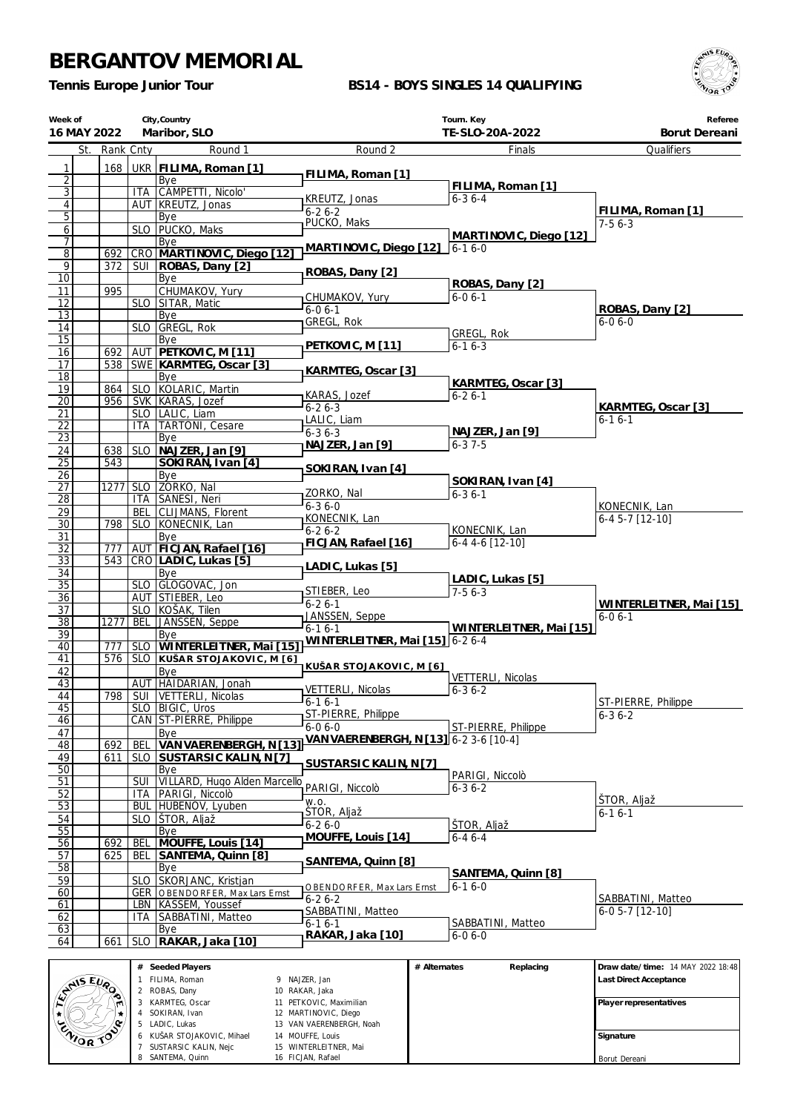6 KUŠAR STOJAKOVIC, Mihael 7 SUSTARSIC KALIN, Nejc 8 SANTEMA, Quinn

 VAN VAERENBERGH, Noah MOUFFE, Louis WINTERLEITNER, Mai FICJAN, Rafael

**Signature** Borut Dereani

*Tennis Europe Junior Tour*

### **BS14 - BOYS SINGLES 14 QUALIFYING**



| Week of<br>16 MAY 2022           |            |                    | City, Country<br>Maribor, SLO                       |                                              | Tourn. Key<br>TE-SLO-20A-2022    | Referee<br>Borut Dereani           |
|----------------------------------|------------|--------------------|-----------------------------------------------------|----------------------------------------------|----------------------------------|------------------------------------|
| St.                              | Rank Cnty  |                    | Round 1                                             | Round 2                                      | Finals                           | Qualifiers                         |
| 1                                | 168        |                    | UKR   FILIMA, Roman [1]                             | FILIMA, Roman [1]                            |                                  |                                    |
| $\overline{2}$<br>$\overline{3}$ |            |                    | Bye<br>ITA CAMPETTI, Nicolo'                        |                                              | FILIMA, Roman [1]                |                                    |
| $\overline{4}$                   |            |                    | AUT KREUTZ, Jonas                                   | KREUTZ, Jonas                                | $6 - 36 - 4$                     |                                    |
| $\overline{5}$                   |            |                    | Bye                                                 | $6 - 26 - 2$                                 |                                  | FILIMA, Roman [1]                  |
| 6                                |            |                    | SLO   PUCKO, Maks                                   | PUCKO, Maks                                  | MARTINOVIC, Diego [12]           | $7-56-3$                           |
| 7                                |            |                    | Bye                                                 | MARTINOVIC, Diego [12]                       | $6 - 16 - 0$                     |                                    |
| $\overline{8}$<br>9              | 692<br>372 |                    | CRO MARTINOVIC, Diego [12]<br>SUI   ROBAS, Dany [2] |                                              |                                  |                                    |
| $\overline{10}$                  |            |                    | Bye                                                 | ROBAS, Dany [2]                              |                                  |                                    |
| 11                               | 995        |                    | CHUMAKOV, Yury                                      | CHUMAKOV, Yury                               | ROBAS, Dany [2]<br>$6 - 06 - 1$  |                                    |
| 12<br>13                         |            |                    | SLO SITAR, Matic                                    | $6 - 06 - 1$                                 |                                  | ROBAS, Dany [2]                    |
| 14                               |            |                    | Bye<br>SLO GREGL, Rok                               | GREGL, Rok                                   |                                  | $6 - 06 - 0$                       |
| $\overline{15}$                  |            |                    | Bye                                                 |                                              | GREGL, Rok                       |                                    |
| 16                               | 692        |                    | AUT PETKOVIC, M [11]                                | PETKOVIC, M [11]                             | $6 - 16 - 3$                     |                                    |
| 17<br>$\overline{18}$            |            |                    | 538 SWE KARMTEG, Oscar [3]                          | KARMTEG, Oscar [3]                           |                                  |                                    |
| 19                               | 864        |                    | Bye<br>SLO KOLARIC, Martin                          |                                              | KARMTEG, Oscar [3]               |                                    |
| $\overline{20}$                  | 956        |                    | SVK KARAS, Jozef                                    | KARAS, Jozef                                 | $6 - 26 - 1$                     |                                    |
| 21                               |            |                    | SLO   LALIC, Liam                                   | $6 - 26 - 3$<br>LALIC, Liam                  |                                  | KARMTEG, Oscar [3]<br>$6 - 16 - 1$ |
| 22                               |            |                    | <b>ITA TARTONI, Cesare</b>                          | $6 - 36 - 3$                                 | NAJZER, Jan [9]                  |                                    |
| 23<br>24                         | 638        | <b>SLO</b>         | Bye<br>NAJZER, Jan [9]                              | NAJZER, Jan [9]                              | $6 - 37 - 5$                     |                                    |
| $\overline{25}$                  | 543        |                    | SOKIRAN, Ivan [4]                                   |                                              |                                  |                                    |
| 26                               |            |                    | Bye                                                 | SOKIRAN, Ivan [4]                            | SOKIRAN, Ivan [4]                |                                    |
| $\overline{27}$                  | 1277       | SLO                | ZORKO, Nal                                          | ZORKO, Nal                                   | $6 - 36 - 1$                     |                                    |
| $\overline{28}$<br>29            |            | <b>BEL</b>         | ITA SANESI, Neri<br>CLIJMANS, Florent               | $6 - 36 - 0$                                 |                                  | KONECNIK, Lan                      |
| $\overline{30}$                  | 798        |                    | SLO KONECNIK, Lan                                   | KONECNIK, Lan                                |                                  | 6-4 5-7 [12-10]                    |
| 31                               |            |                    | Bye                                                 | $6 - 26 - 2$<br>FICJAN, Rafael [16]          | KONECNIK, Lan<br>6-4 4-6 [12-10] |                                    |
| 32                               | 777        |                    | AUT FICJAN, Rafael [16]                             |                                              |                                  |                                    |
| 33<br>34                         | 543        |                    | CRO LADIC, Lukas [5]<br>Bye                         | LADIC, Lukas [5]                             |                                  |                                    |
| $\overline{35}$                  |            |                    | SLO GLOGOVAC, Jon                                   |                                              | LADIC, Lukas [5]                 |                                    |
| $\overline{36}$                  |            |                    | AUT STIEBER, Leo                                    | STIEBER, Leo<br>$6 - 26 - 1$                 | $7-56-3$                         | WINTERLEITNER, Mai [15]            |
| 37                               |            |                    | SLO KOŠAK, Tilen                                    | JANSSEN, Seppe                               |                                  | $6 - 06 - 1$                       |
| $\overline{38}$<br>39            | 1277       | <b>BEL</b>         | JANSSEN, Seppe<br>Bye                               | $6-16-1$                                     | WINTERLEITNER, Mai [15]          |                                    |
| 40                               | 777        |                    | SLO WINTERLEITNER, Mai [15]                         | WINTERLEITNER, Mai [15] 6-2 6-4              |                                  |                                    |
| 41                               |            |                    | 576   SLO KUŠAR STOJAKOVIC, M [6]                   | KUŠAR STOJAKOVIC, M [6]                      |                                  |                                    |
| 42                               |            |                    | Bye<br>AUT HAIDARIAN, Jonah                         |                                              | VETTERLI, Nicolas                |                                    |
| 43<br>44                         |            |                    | 798   SUI   VETTERLI, Nicolas                       | VETTERLI, Nicolas                            | $6 - 36 - 2$                     |                                    |
| 45                               |            |                    | SLO   BIGIC, Uros                                   | $6 - 16 - 1$                                 |                                  | ST-PIERRE, Philippe                |
| 46                               |            |                    | CAN ST-PIERRE, Philippe                             | ST-PIERRE, Philippe<br>$6-06-0$              | ST-PIERRE, Philippe              | $6 - 36 - 2$                       |
| 47<br>48                         | 692        | <b>BEL</b>         | Bye<br>VAN VAERENBERGH, N [13]                      | VAN VAERENBERGH, N [13] 6-2 3-6 [10-4]       |                                  |                                    |
| 49                               | 611        | <b>SLO</b>         | SUSTARSIC KALIN, N [7]                              |                                              |                                  |                                    |
| 50                               |            |                    | Bye                                                 | SUSTARSIC KALIN, N[7]                        | PARIGI, Niccolò                  |                                    |
| 51                               |            | SUI                | VILLARD, Hugo Alden Marcello                        | PARIGI, Niccolò                              | $6 - 36 - 2$                     |                                    |
| 52<br>53                         |            | ITA.<br><b>BUL</b> | PARIGI, Niccolò<br>HUBENOV, Lyuben                  | W.O.                                         |                                  | STOR, Aljaž                        |
| 54                               |            | <b>SLO</b>         | ŠTOR, Aljaž                                         | ŠTOR, Aljaž                                  |                                  | 6-1 6-1                            |
| 55                               |            |                    | Bye                                                 | $6 - 26 - 0$<br>MOUFFE, Louis [14]           | ŠTOR, Aljaž                      |                                    |
| 56                               | 692        | BEL                | MOUFFE, Louis [14]                                  |                                              | $6 - 46 - 4$                     |                                    |
| 57                               | 625        | BEL                | SANTEMA, Quinn [8]                                  | SANTEMA, Quinn [8]                           |                                  |                                    |
| 58<br>59                         |            |                    | Bye<br>SLO SKORJANC, Kristjan                       |                                              | SANTEMA, Quinn [8]               |                                    |
| 60                               |            |                    | <b>GER   OBENDORFER, Max Lars Ernst</b>             | OBENDORFER, Max Lars Ernst                   | $6 - 16 - 0$                     | SABBATINI, Matteo                  |
| 61                               |            |                    | LBN   KASSEM, Youssef                               | $6 - 26 - 2$<br>SABBATINI, Matteo            |                                  | 6-0 5-7 [12-10]                    |
| 62<br>63                         |            | ITA.               | SABBATINI, Matteo                                   | $6 - 16 - 1$                                 | SABBATINI, Matteo                |                                    |
| 64                               | 661        | <b>SLO</b>         | Bye<br>RAKAR, Jaka [10]                             | RAKAR, Jaka [10]                             | $6 - 06 - 0$                     |                                    |
|                                  |            |                    |                                                     |                                              |                                  |                                    |
|                                  |            |                    | # Seeded Players                                    |                                              | # Alternates<br>Replacing        | Draw date/time: 14 MAY 2022 18:48  |
|                                  |            |                    | 1 FILIMA, Roman<br>2 ROBAS, Dany                    | 9 NAJZER, Jan<br>10 RAKAR, Jaka              |                                  | Last Direct Acceptance             |
| AMIS EURO                        |            |                    | 3 KARMTEG, Oscar                                    | 11 PETKOVIC, Maximilian                      |                                  | Player representatives             |
| $\star$                          |            |                    | 4 SOKIRAN, Ivan                                     | 12 MARTINOVIC, Diego                         |                                  |                                    |
| ZWOR TO                          |            |                    | 5 LADIC, Lukas<br>6 KUŠAR STOJAKOVIC, Mihael        | 13 VAN VAERENBERGH, Noah<br>14 MOUFFE, Louis |                                  | Signature                          |
|                                  |            |                    | 7 SUSTARSIC KALIN, Neic                             | 15 WINTERLEITNER, Mai                        |                                  |                                    |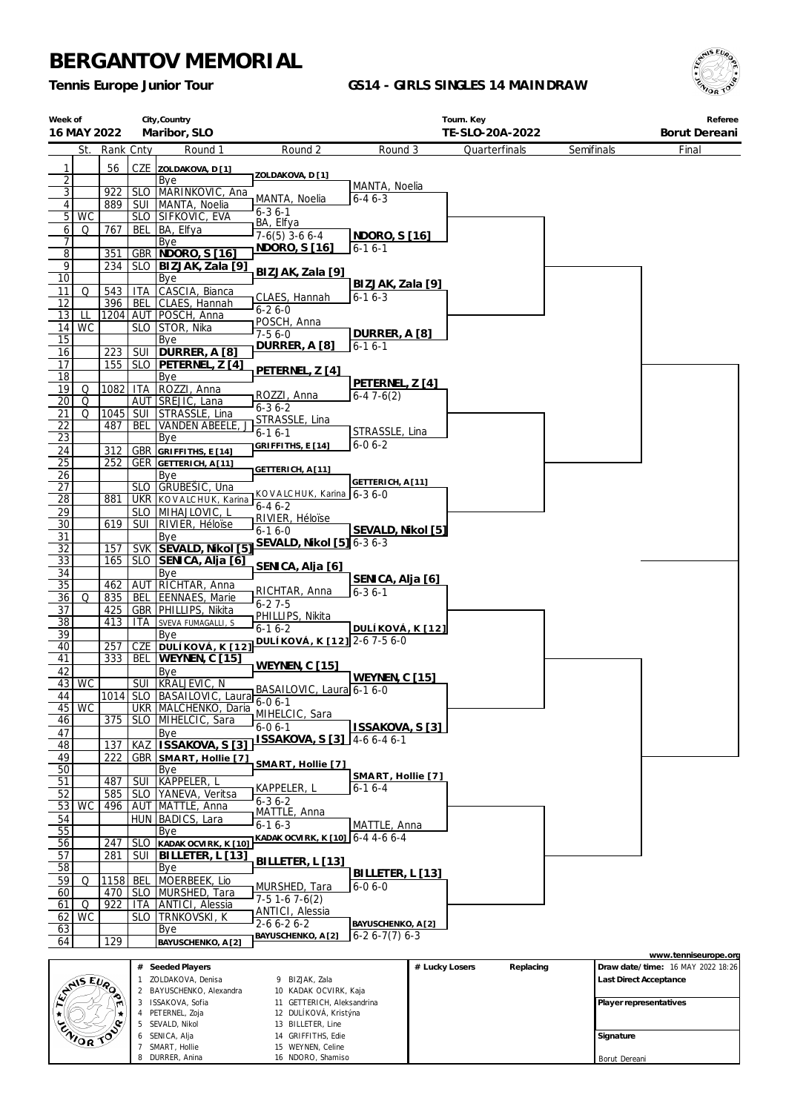SEVALD, Nikol SENICA, Alja SMART, Hollie DURRER, Anina

 BILLETER, Line GRIFFITHS, Edie WEYNEN, Celine NDORO, Shamiso

*Tennis Europe Junior Tour*

### **GS14 - GIRLS SINGLES 14 MAINDRAW**



| Week of<br>16 MAY 2022           |            |                    | City, Country<br>Maribor, SLO              |                                                     |                                | Tourn. Key<br>TE-SLO-20A-2022 |            | Referee<br>Borut Dereani          |
|----------------------------------|------------|--------------------|--------------------------------------------|-----------------------------------------------------|--------------------------------|-------------------------------|------------|-----------------------------------|
| St.                              | Rank Cnty  |                    | Round 1                                    | Round 2                                             | Round 3                        | Quarterfinals                 | Semifinals | Final                             |
|                                  |            |                    |                                            |                                                     |                                |                               |            |                                   |
| 1                                | 56         |                    | CZE ZOLDAKOVA, D[1]                        | ZOLDAKOVA, D [1]                                    |                                |                               |            |                                   |
| $\overline{2}$<br>$\overline{3}$ | 922        |                    | Bye<br>SLO MARINKOVIC, Ana                 |                                                     | MANTA, Noelia                  |                               |            |                                   |
| 4                                | 889        |                    | SUI   MANTA, Noelia                        | MANTA, Noelia                                       | $6 - 46 - 3$                   |                               |            |                                   |
| 5<br><b>WC</b>                   |            |                    | SLO SIFKOVIC, EVA                          | $6 - 36 - 1$                                        |                                |                               |            |                                   |
| 6<br>Q                           | 767        | BEL                | BA, Elfya                                  | BA, Elfya<br>$7-6(5)$ 3-6 6-4                       | NDORO, S [16]                  |                               |            |                                   |
| 7                                |            |                    | Bye                                        | NDORO, S [16]                                       | $6 - 16 - 1$                   |                               |            |                                   |
| $\overline{8}$                   | 351        |                    | <b>GBR NDORO, S [16]</b>                   |                                                     |                                |                               |            |                                   |
| 9<br>10                          | 234        | SLO                | BIZJAK, Zala [9]                           | BIZJAK, Zala [9]                                    |                                |                               |            |                                   |
| 11<br>Q                          | 543        | <b>ITA</b>         | Bye<br>CASCIA, Bianca                      |                                                     | BIZJAK, Zala [9]               |                               |            |                                   |
| 12                               | 396        | BEL                | CLAES, Hannah                              | CLAES, Hannah                                       | $6 - 16 - 3$                   |                               |            |                                   |
| 13<br>Щ                          |            |                    | 1204 AUT POSCH, Anna                       | $6 - 26 - 0$                                        |                                |                               |            |                                   |
| WC<br>14                         |            |                    | SLO STOR, Nika                             | POSCH, Anna<br>$7-56-0$                             | DURRER, A [8]                  |                               |            |                                   |
| 15                               |            |                    | Bye                                        | DURRER, A [8]                                       | $6 - 16 - 1$                   |                               |            |                                   |
| 16                               | 223        | SUI                | DURRER, A [8]                              |                                                     |                                |                               |            |                                   |
| 17<br>18                         | 155        | SLO                | PETERNEL, Z [4]                            | PETERNEL, Z [4]                                     |                                |                               |            |                                   |
| 19<br>Q                          | 1082       | ITA                | Bye<br>ROZZI, Anna                         |                                                     | PETERNEL, Z [4]                |                               |            |                                   |
| 20<br>Q                          |            |                    | AUT SREJIC, Lana                           | ROZZI, Anna                                         | $6-47-6(2)$                    |                               |            |                                   |
| Q<br>21                          | 1045       |                    | SUI STRASSLE, Lina                         | $6 - 36 - 2$                                        |                                |                               |            |                                   |
| <u>22</u>                        | 487        | <b>BEL</b>         | <b>VANDEN ABEELE</b>                       | STRASSLE, Lina                                      |                                |                               |            |                                   |
| 23                               |            |                    | Bye                                        | $6 - 16 - 1$                                        | STRASSLE, Lina<br>$6 - 06 - 2$ |                               |            |                                   |
| 24                               | 312        |                    | GBR GRIFFITHS, E [14]                      | GRIFFITHS, E [14]                                   |                                |                               |            |                                   |
| $\overline{25}$                  | 252        |                    | <b>GER GETTERICH, A[11]</b>                | GETTERICH, A [11]                                   |                                |                               |            |                                   |
| 26                               |            |                    | Bye                                        |                                                     | GETTERICH, A [11]              |                               |            |                                   |
| 27<br>$\overline{28}$            | 881        |                    | SLO GRUBEŠIC, Una<br>UKR KOVALCHUK, Karina | KOVALCHUK, Karina 6-3 6-0                           |                                |                               |            |                                   |
| 29                               |            |                    | SLO   MIHAJLOVIC, L                        | $6 - 46 - 2$                                        |                                |                               |            |                                   |
| 30                               | 619        | SUI                | RIVIER, Héloïse                            | RIVIER, Héloïse                                     |                                |                               |            |                                   |
| 31                               |            |                    | Bye                                        | $6 - 16 - 0$                                        | SEVALD, Nikol [5]              |                               |            |                                   |
| 32                               | 157        |                    | SVK SEVALD, Nikol [5]                      | SEVALD, Nikol [5] 6-3 6-3                           |                                |                               |            |                                   |
| $\overline{33}$                  | 165        |                    | SLO SENICA, Alja [6]                       | SENICA, Alja [6]                                    |                                |                               |            |                                   |
| 34                               |            |                    | Bye                                        |                                                     | SENICA, Alja [6]               |                               |            |                                   |
| 35<br>36<br>Q                    | 462<br>835 | BEL                | AUT RICHTAR, Anna<br><b>EENNAES, Marie</b> | RICHTAR, Anna                                       | $6 - 36 - 1$                   |                               |            |                                   |
| 37                               | 425        |                    | GBR   PHILLIPS, Nikita                     | $6 - 27 - 5$                                        |                                |                               |            |                                   |
| $\overline{38}$                  | 413        | ITA                | SVEVA FUMAGALLI, S                         | PHILLIPS, Nikita                                    |                                |                               |            |                                   |
| 39                               |            |                    | Bye                                        | $6 - 16 - 2$<br>DULÍKOVÁ, K [12] 2-6 7-5 6-0        | DULÍKOVÁ, K [12]               |                               |            |                                   |
| 40                               | 257        | CZE                | DULÍKOVÁ, K <sup>[12]</sup>                |                                                     |                                |                               |            |                                   |
| 41                               | 333        | BEL                | <b>WEYNEN, C [15]</b>                      | <b>WEYNEN, C [15]</b>                               |                                |                               |            |                                   |
| 42<br>$43$ WC                    |            |                    | Bye<br>SUI KRALJEVIC, N                    |                                                     | WEYNEN, C [15]                 |                               |            |                                   |
| 44                               |            |                    | 1014 SLO BASAILOVIC, Laura 6-0 6-1         | BASAILOVIC, Laura 6-1 6-0                           |                                |                               |            |                                   |
| <b>WC</b><br>45                  |            |                    | UKR MALCHENKO, Daria                       |                                                     |                                |                               |            |                                   |
| 46                               | 375        | <b>SLO</b>         | MIHELCIC, Sara                             | MIHELCIC, Sara                                      |                                |                               |            |                                   |
| 47                               |            |                    | Bye                                        | $6 - 06 - 1$<br>ISSAKOVA, S [3]                     | ISSAKOVA, S [3]                |                               |            |                                   |
| 48                               | 137        | KAZ                | ISSAKOVA, S [3]                            |                                                     | $4-66-46-1$                    |                               |            |                                   |
| 49                               | 222        | GBR                | SMART, Hollie [7]                          | SMART, Hollie [7]                                   |                                |                               |            |                                   |
| 50                               |            |                    | Bye                                        |                                                     | SMART, Hollie [7]              |                               |            |                                   |
| 51<br>52                         | 487<br>585 | <b>SUI</b>         | KAPPELER, I                                | KAPPELER, L                                         | $6 - 16 - 4$                   |                               |            |                                   |
| 53<br><b>WC</b>                  | 496        | SLO                | YANEVA, Veritsa<br>AUT MATTLE, Anna        | $6 - 36 - 2$                                        |                                |                               |            |                                   |
| 54                               |            |                    | HUN BADICS, Lara                           | MATTLE, Anna                                        |                                |                               |            |                                   |
| 55                               |            |                    | Bye                                        | $6 - 16 - 3$                                        | MATTLE, Anna                   |                               |            |                                   |
| 56                               | 247        | <b>SLO</b>         | KADAK OCVIRK, K [10]                       | KADAK OCVIRK, K [10] 6-4 4-6 6-4                    |                                |                               |            |                                   |
| 57                               | 281        | SUI                | BILLETER, L [13]                           | BILLETER, L [13]                                    |                                |                               |            |                                   |
| 58                               |            |                    | Bye                                        |                                                     | BILLETER, L [13]               |                               |            |                                   |
| 59<br>Q                          | 1158       | BEL                | MOERBEEK, Lio                              | MURSHED, Tara                                       | $6 - 06 - 0$                   |                               |            |                                   |
| 60                               | 470        | <b>SLO</b>         | MURSHED, Tara                              | $7-5$ 1-6 7-6(2)                                    |                                |                               |            |                                   |
| 61<br>Q<br><b>WC</b>             | 922        | ITA.<br><b>SLO</b> | ANTICI, Alessia<br>TRNKOVSKI, K            | <b>ANTICI</b> , Alessia                             |                                |                               |            |                                   |
| 62<br>63                         |            |                    | Bye                                        | $2 - 6 6 - 2 6 - 2$                                 | BAYUSCHENKO, A [2]             |                               |            |                                   |
| 64                               | 129        |                    | BAYUSCHENKO, A [2]                         | BAYUSCHENKO, A [2]                                  | $6-26-7(7)6-3$                 |                               |            |                                   |
|                                  |            |                    |                                            |                                                     |                                |                               |            | www.tenniseurope.org              |
|                                  |            |                    | # Seeded Players                           |                                                     |                                | # Lucky Losers<br>Replacing   |            | Draw date/time: 16 MAY 2022 18:26 |
| ANS EVA                          |            |                    | 1 ZOLDAKOVA, Denisa                        | 9 BIZJAK, Zala                                      |                                |                               |            | Last Direct Acceptance            |
|                                  |            |                    | 2 BAYUSCHENKO, Alexandra                   | 10 KADAK OCVIRK, Kaja                               |                                |                               |            |                                   |
| ★                                |            | 3                  | ISSAKOVA, Sofia<br>4 PETERNEL, Zoja        | 11 GETTERICH, Aleksandrina<br>12 DULÍKOVÁ, Kristýna |                                |                               |            | Player representatives            |
|                                  |            |                    | 5 SEVALD, Nikol                            | 13 BILLETER, Line                                   |                                |                               |            |                                   |
| ZNIOR JON                        |            | 6                  | SENICA, Alja                               | 14 GRIFFITHS, Edie                                  |                                |                               | Signature  |                                   |
|                                  |            |                    | SMART Hollie                               | 15 WFYNEN Celine                                    |                                |                               |            |                                   |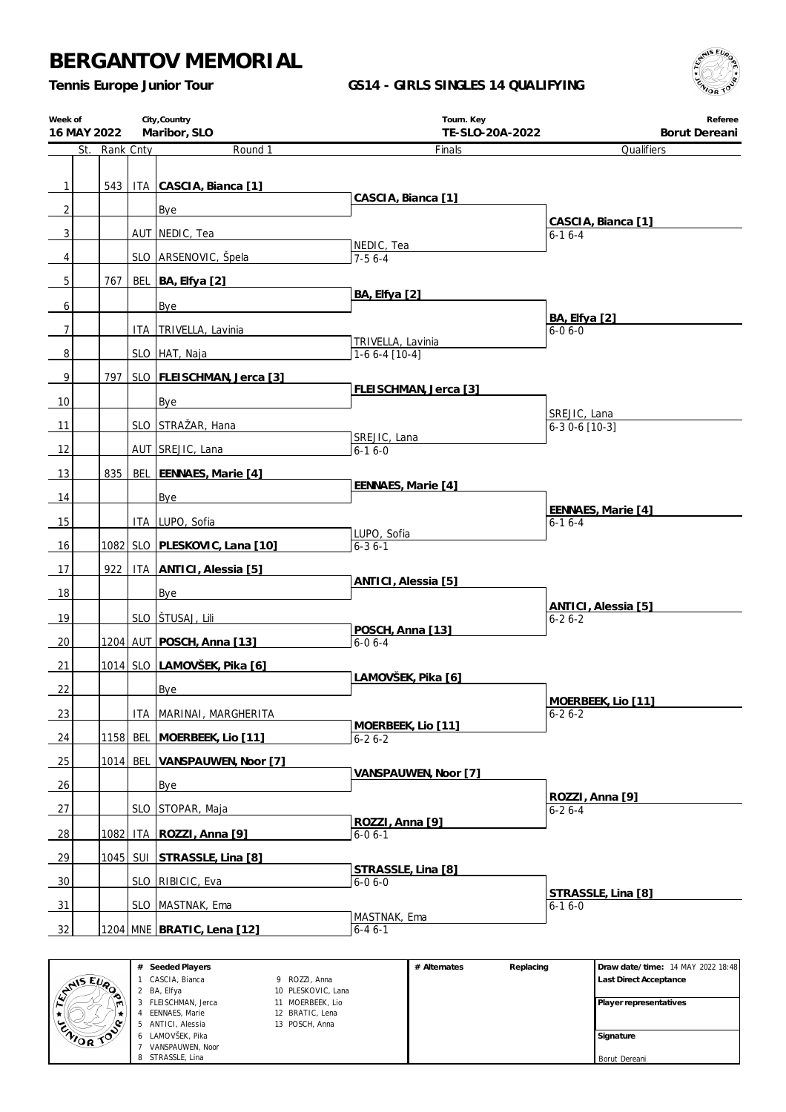*Tennis Europe Junior Tour*

### **GS14 - GIRLS SINGLES 14 QUALIFYING**



| Week of        | City, Country<br>16 MAY 2022<br>Maribor, SLO<br>St. Rank Cnty |     |            |                                 | Tourn. Key<br>TE-SLO-20A-2022        | Referee<br>Borut Dereani             |
|----------------|---------------------------------------------------------------|-----|------------|---------------------------------|--------------------------------------|--------------------------------------|
|                |                                                               |     |            | Round 1                         | Finals                               | Qualifiers                           |
|                |                                                               |     |            |                                 |                                      |                                      |
| $\mathbf{1}$   |                                                               | 543 |            | ITA CASCIA, Bianca [1]          | CASCIA, Bianca [1]                   |                                      |
| $\overline{2}$ |                                                               |     |            | Bye                             |                                      | CASCIA, Bianca [1]                   |
| $\mathbf{3}$   |                                                               |     |            | AUT NEDIC, Tea                  | NEDIC, Tea                           | $6-16-4$                             |
| $\overline{4}$ |                                                               |     |            | SLO ARSENOVIC, Špela            | $7-56-4$                             |                                      |
| 5              |                                                               | 767 |            | BEL BA, Elfya [2]               |                                      |                                      |
| 6              |                                                               |     |            | Bye                             | BA, Elfya [2]                        |                                      |
| $\overline{7}$ |                                                               |     |            | ITA TRIVELLA, Lavinia           |                                      | <b>BA, Elfya</b> [2]<br>$6 - 06 - 0$ |
| $\, 8$         |                                                               |     |            | SLO HAT, Naja                   | TRIVELLA, Lavinia<br>$1-66-4$ [10-4] |                                      |
| $\overline{9}$ |                                                               | 797 |            | SLO   FLEISCHMAN, Jerca [3]     |                                      |                                      |
|                |                                                               |     |            |                                 | FLEISCHMAN, Jerca [3]                |                                      |
| 10             |                                                               |     |            | Bye                             |                                      | SREJIC, Lana                         |
| 11             |                                                               |     |            | SLO STRAŽAR, Hana               | SREJIC, Lana                         | $6-30-6$ [10-3]                      |
| 12             |                                                               |     |            | AUT SREJIC, Lana                | $6 - 16 - 0$                         |                                      |
| 13             |                                                               | 835 |            | BEL EENNAES, Marie [4]          |                                      |                                      |
| 14             |                                                               |     |            | Bye                             | EENNAES, Marie [4]                   |                                      |
| 15             |                                                               |     |            | ITA LUPO, Sofia                 |                                      | EENNAES, Marie [4]<br>$6 - 16 - 4$   |
| 16             |                                                               |     |            | 1082 SLO PLESKOVIC, Lana [10]   | LUPO, Sofia<br>$6 - 36 - 1$          |                                      |
| 17             |                                                               | 922 |            | <b>ITA ANTICI, Alessia [5]</b>  |                                      |                                      |
|                |                                                               |     |            |                                 | ANTICI, Alessia [5]                  |                                      |
| 18             |                                                               |     |            | Bye                             |                                      | ANTICI, Alessia [5]                  |
| 19             |                                                               |     |            | SLO STUSAJ, Lili                | POSCH, Anna [13]                     | $6 - 26 - 2$                         |
| 20             |                                                               |     |            | 1204   AUT   POSCH, Anna [13]   | $6 - 06 - 4$                         |                                      |
| 21             |                                                               |     |            | 1014 SLO LAMOVŠEK, Pika [6]     | LAMOVŠEK, Pika [6]                   |                                      |
| 22             |                                                               |     |            | Bye                             |                                      |                                      |
| 23             |                                                               |     |            | ITA   MARINAI, MARGHERITA       |                                      | MOERBEEK, Lio [11]<br>$6 - 26 - 2$   |
| 24             |                                                               |     |            | 1158 BEL MOERBEEK, Lio [11]     | MOERBEEK, Lio [11]<br>$6-26-2$       |                                      |
| 25             |                                                               |     | $1014$ BEL | VANSPAUWEN, Noor [7]            |                                      |                                      |
| 26             |                                                               |     |            | Bye                             | VANSPAUWEN, Noor [7]                 |                                      |
|                |                                                               |     |            |                                 |                                      | ROZZI, Anna [9]                      |
| 27             |                                                               |     |            | SLO STOPAR, Maja                | ROZZI, Anna [9]                      | $6 - 26 - 4$                         |
| 28             |                                                               |     |            | 1082   ITA   ROZZI, Anna [9]    | $6 - 06 - 1$                         |                                      |
| 29             |                                                               |     |            | 1045   SUI   STRASSLE, Lina [8] | STRASSLE, Lina [8]                   |                                      |
| 30             |                                                               |     |            | SLO RIBICIC, Eva                | $6 - 06 - 0$                         |                                      |
| 31             |                                                               |     |            | SLO MASTNAK, Ema                |                                      | STRASSLE, Lina [8]<br>$6 - 16 - 0$   |
| 32             |                                                               |     |            | 1204 MNE BRATIC, Lena [12]      | MASTNAK, Ema<br>$6 - 46 - 1$         |                                      |
|                |                                                               |     |            |                                 |                                      |                                      |

|                | # | Seeded Players    |                    | # Alternates | Replacing | Draw date/time: 14 MAY 2022 18:48 |
|----------------|---|-------------------|--------------------|--------------|-----------|-----------------------------------|
| <b>AIS EVA</b> |   | CASCIA, Bianca    | 9 ROZZI, Anna      |              |           | Last Direct Acceptance            |
|                |   | BA, Elfya         | 10 PLESKOVIC, Lana |              |           |                                   |
| ∾<br>۱M        |   | FLEISCHMAN, Jerca | 11 MOERBEEK, Lio   |              |           | Player representatives            |
|                |   | EENNAES, Marie    | 12 BRATIC, Lena    |              |           |                                   |
| o.             |   | ANTICI, Alessia   | 13 POSCH, Anna     |              |           |                                   |
| ENIOR TO       |   | LAMOVŠEK, Pika    |                    |              |           | Signature                         |
|                |   | VANSPAUWEN, Noor  |                    |              |           |                                   |
|                |   | STRASSLE, Lina    |                    |              |           | Borut Dereani                     |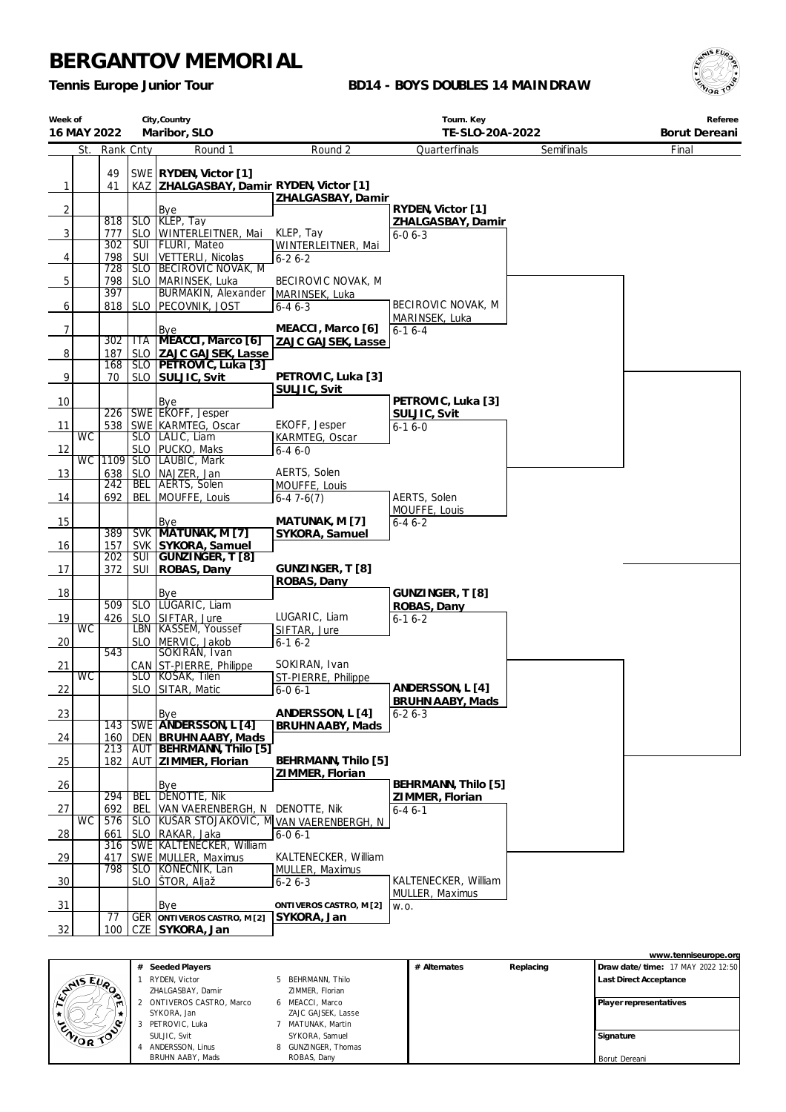*Tennis Europe Junior Tour*

### **BD14 - BOYS DOUBLES 14 MAINDRAW**



| Week of        |             |            |              | City, Country                                        |                                        | Tourn. Key                     |            | Referee       |
|----------------|-------------|------------|--------------|------------------------------------------------------|----------------------------------------|--------------------------------|------------|---------------|
|                | 16 MAY 2022 |            |              | Maribor, SLO                                         |                                        | TE-SLO-20A-2022                |            | Borut Dereani |
|                | St.         | Rank Cnty  |              | Round 1                                              | Round 2                                | Quarterfinals                  | Semifinals | Final         |
|                |             | 49         |              | SWE RYDEN, Victor [1]                                |                                        |                                |            |               |
| $\mathbf{1}$   |             | 41         |              | KAZ ZHALGASBAY, Damir RYDEN, Victor [1]              |                                        |                                |            |               |
|                |             |            |              |                                                      | ZHALGASBAY, Damir                      |                                |            |               |
| $\overline{2}$ |             |            |              | Bye                                                  |                                        | RYDEN, Victor [1]              |            |               |
|                |             | 818        | <b>SLO</b>   | SLO KLEP, Tay                                        | KLEP, Tay                              | ZHALGASBAY, Damir              |            |               |
| $\overline{3}$ |             | 777<br>302 | SUI          | WINTERLEITNER, Mai<br><b>FLURI</b> , Mateo           | WINTERLEITNER, Mai                     | $6 - 06 - 3$                   |            |               |
| 4              |             | 798        | SUI          | VETTERLI, Nicolas                                    | $6 - 26 - 2$                           |                                |            |               |
|                |             | 728        | <b>SLO</b>   | <b>BECIROVIC NOVAK, M</b>                            |                                        |                                |            |               |
| 5              |             | 798        | <b>SLO</b>   | MARINSEK, Luka                                       | BECIROVIC NOVAK, M                     |                                |            |               |
|                |             | 397        |              | BURMAKIN, Alexander                                  | MARINSEK, Luka                         |                                |            |               |
| 6              |             |            | 818 SLO      | PECOVNIK, JOST                                       | $6 - 46 - 3$                           | BECIROVIC NOVAK, M             |            |               |
| $\overline{7}$ |             |            |              | <b>Bye</b>                                           | MEACCI, Marco [6]                      | MARINSEK, Luka<br>$6 - 16 - 4$ |            |               |
|                |             | 302        | <b>ITA</b>   | MEACCI, Marco [6]                                    | ZAJC GAJSEK, Lasse                     |                                |            |               |
| 8              |             | 187        | <b>SLO</b>   | ZAJC GAJSEK, Lasse                                   |                                        |                                |            |               |
|                |             | 168        | <b>SLO</b>   | PETROVIC, Luka [3]                                   |                                        |                                |            |               |
| 9              |             | 70         | <b>SLO</b>   | SULJIC, Svit                                         | PETROVIC, Luka [3]                     |                                |            |               |
| 10             |             |            |              | Bye                                                  | SULJIC, Svit                           | PETROVIC, Luka [3]             |            |               |
|                |             | 226        |              | SWE EKOFF, Jesper                                    |                                        | SULJIC, Svit                   |            |               |
| 11             |             |            |              | 538   SWE   KARMTEG, Oscar                           | EKOFF, Jesper                          | $6 - 16 - 0$                   |            |               |
|                | <b>WC</b>   |            |              | SLO   LALIC, Liam                                    | KARMTEG, Oscar                         |                                |            |               |
| 12             |             |            |              | SLO   PUCKO, Maks                                    | $6 - 46 - 0$                           |                                |            |               |
|                | <b>WC</b>   | 1109       |              | SLO LAUBIC, Mark                                     | AERTS, Solen                           |                                |            |               |
| 13             |             | 638<br>242 |              | SLO NAJZER, Jan<br><b>BEL AERTS, Solen</b>           | MOUFFE, Louis                          |                                |            |               |
| 14             |             | 692        | BEL          | MOUFFE, Louis                                        | $6-47-6(7)$                            | AERTS, Solen                   |            |               |
|                |             |            |              |                                                      |                                        | MOUFFE, Louis                  |            |               |
| 15             |             |            |              | Bye                                                  | MATUNAK, M [7]                         | $6 - 46 - 2$                   |            |               |
|                |             | 389        |              | SVK MATUNAK, M [7]                                   | SYKORA, Samuel                         |                                |            |               |
| 16             |             | 157<br>202 | <b>SUI</b>   | SVK SYKORA, Samuel<br>GUNZINGER, T [8]               |                                        |                                |            |               |
| 17             |             | 372        | <b>SUI</b>   | ROBAS, Dany                                          | GUNZINGER, T[8]                        |                                |            |               |
|                |             |            |              |                                                      | ROBAS, Dany                            |                                |            |               |
| 18             |             |            |              | Bye                                                  |                                        | GUNZINGER, T [8]               |            |               |
|                |             | 509        | $\sqrt{5LO}$ | LUGARIC, Liam                                        |                                        | ROBAS, Dany                    |            |               |
| 19             | <b>WC</b>   | 426        |              | SLO SIFTAR, Jure<br>LBN   KASSEM, Youssef            | LUGARIC, Liam<br>SIFTAR, Jure          | $6 - 16 - 2$                   |            |               |
| 20             |             |            | SLO.         | MERVIC, Jakob                                        | $6 - 16 - 2$                           |                                |            |               |
|                |             | 543        |              | SOKIRAN, Ivan                                        |                                        |                                |            |               |
| 21             |             |            |              | CAN ST-PIERRE, Philippe                              | SOKIRAN, Ivan                          |                                |            |               |
|                | <b>WC</b>   |            |              | SLO KOSAK, Tilen                                     | ST-PIERRE, Philippe                    | ANDERSSON, L [4]               |            |               |
| 22             |             |            |              | SLO SITAR, Matic                                     | $6 - 06 - 1$                           | BRUHN AABY, Mads               |            |               |
| 23             |             |            |              | Bye                                                  | ANDERSSON, L [4]                       | $6 - 26 - 3$                   |            |               |
|                |             | 143        |              | SWE ANDERSSON, L [4]                                 | BRUHN AABY, Mads                       |                                |            |               |
| 24             |             | 160        | <b>DEN</b>   | <b>BRUHN AABY, Mads</b>                              |                                        |                                |            |               |
|                |             | 213        | AUT          | BEHRMANN, Thilo [5]                                  |                                        |                                |            |               |
| 25             |             | 182        | AUT          | ZIMMER, Florian                                      | BEHRMANN, Thilo [5]<br>ZIMMER, Florian |                                |            |               |
| 26             |             |            |              | Bye                                                  |                                        | BEHRMANN, Thilo [5]            |            |               |
|                |             | 294        | <b>BEL</b>   | DENOTTE, Nik                                         |                                        | ZIMMER, Florian                |            |               |
| 27             |             | 692        | BEL          | VAN VAERENBERGH, N                                   | DENOTTE, Nik                           | $6 - 46 - 1$                   |            |               |
|                | <b>WC</b>   | 576        | <b>SLO</b>   | KUŠAR STOJAKOVIC, M VAN VAERENBERGH, N               |                                        |                                |            |               |
| 28             |             | 661<br>316 | <b>SLO</b>   | RAKAR, Jaka<br><b>SWE KALTENECKER, William</b>       | $6 - 06 - 1$                           |                                |            |               |
| 29             |             | 417        |              | SWE MULLER, Maximus                                  | KALTENECKER, William                   |                                |            |               |
|                |             | 798        |              | SLO   KONECNIK, Lan                                  | MULLER, Maximus                        |                                |            |               |
| 30             |             |            |              | SLO STOR, Aljaž                                      | $6 - 26 - 3$                           | KALTENECKER, William           |            |               |
|                |             |            |              |                                                      |                                        | MULLER, Maximus                |            |               |
| 31             |             |            |              | Bye                                                  | ONTIVEROS CASTRO, M [2]                | W.O.                           |            |               |
| 32             |             | 77<br>100  |              | <b>GER ONTIVEROS CASTRO, M[2]</b><br>CZE SYKORA, Jan | SYKORA, Jan                            |                                |            |               |
|                |             |            |              |                                                      |                                        |                                |            |               |

|          |   |                           |                     |              |           |                        | www.tenniseurope.org              |
|----------|---|---------------------------|---------------------|--------------|-----------|------------------------|-----------------------------------|
|          | # | Seeded Players            |                     | # Alternates | Replacing |                        | Draw date/time: 17 MAY 2022 12:50 |
| ANS EVA  |   | RYDEN, Victor             | 5 BEHRMANN, Thilo   |              |           | Last Direct Acceptance |                                   |
| ◚        |   | ZHALGASBAY, Damir         | ZIMMER, Florian     |              |           |                        |                                   |
|          |   | 2 ONTIVEROS CASTRO, Marco | 6 MEACCI, Marco     |              |           | Player representatives |                                   |
|          |   | SYKORA, Jan               | ZAJC GAJSEK, Lasse  |              |           |                        |                                   |
|          |   | 3 PETROVIC, Luka          | MATUNAK, Martin     |              |           |                        |                                   |
| ENIOR TO |   | SULJIC. Svit              | SYKORA, Samuel      |              |           | Signature              |                                   |
|          |   | ANDERSSON, Linus          | 8 GUNZINGER, Thomas |              |           |                        |                                   |
|          |   | BRUHN AABY, Mads          | ROBAS, Dany         |              |           | Borut Dereani          |                                   |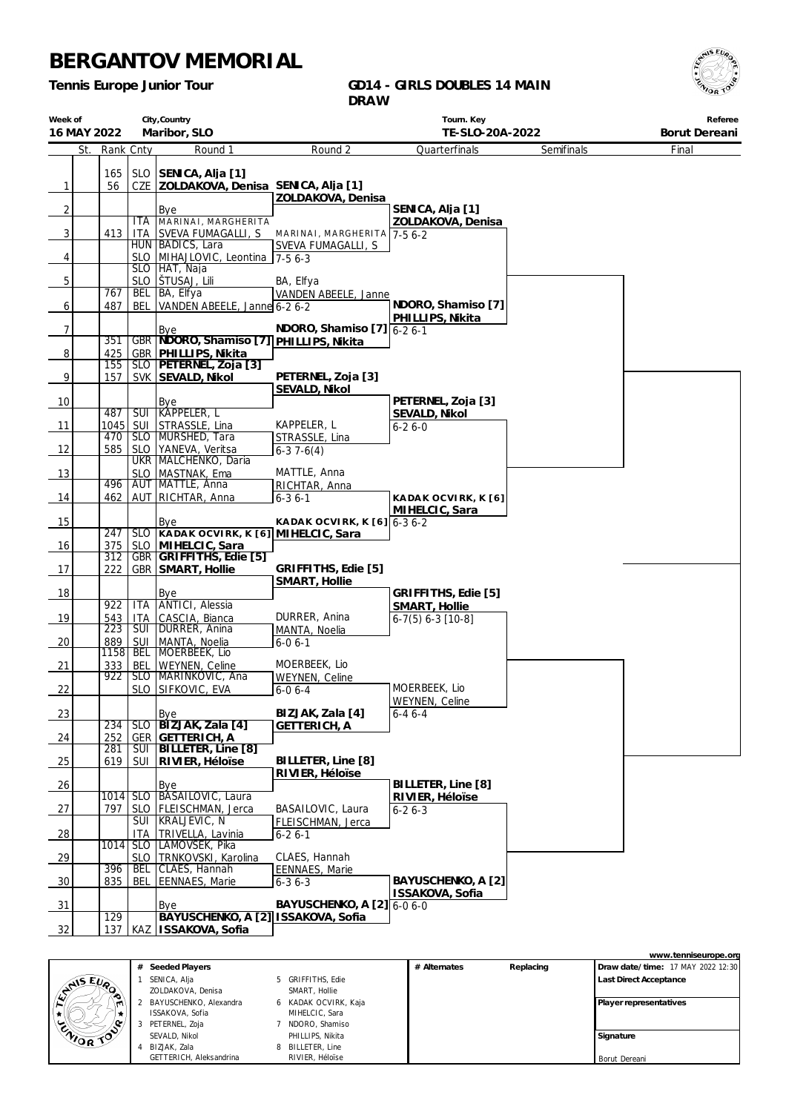*Tennis Europe Junior Tour*

#### **GD14 - GIRLS DOUBLES 14 MAIN DRAW**



| Week of<br>16 MAY 2022 |     |                   |                         | City, Country<br>Maribor, SLO                             |                                       | Tourn. Key<br>TE-SLO-20A-2022         |            | Referee<br>Borut Dereani |
|------------------------|-----|-------------------|-------------------------|-----------------------------------------------------------|---------------------------------------|---------------------------------------|------------|--------------------------|
|                        | St. | Rank Cnty         |                         | Round 1                                                   | Round 2                               | Quarterfinals                         | Semifinals | Final                    |
|                        |     | 165               |                         | SLO SENICA, Alja [1]                                      |                                       |                                       |            |                          |
| $\mathbf{1}$           |     | 56                |                         | CZE ZOLDAKOVA, Denisa SENICA, Alja [1]                    |                                       |                                       |            |                          |
|                        |     |                   |                         |                                                           | ZOLDAKOVA, Denisa                     |                                       |            |                          |
| $\overline{2}$         |     |                   |                         | Bye                                                       |                                       | SENICA, Alja [1]                      |            |                          |
| $\overline{3}$         |     | 413               | ITA<br><b>ITA</b>       | MARINAI, MARGHERITA<br>SVEVA FUMAGALLI, S                 | MARINAI, MARGHERITA 7-5 6-2           | ZOLDAKOVA, Denisa                     |            |                          |
|                        |     |                   |                         | HUN BADICS, Lara                                          | SVEVA FUMAGALLI, S                    |                                       |            |                          |
| $\overline{4}$         |     |                   |                         | SLO MIHAJLOVIC, Leontina 7-5 6-3                          |                                       |                                       |            |                          |
|                        |     |                   |                         | SLO   HAT, Naja                                           |                                       |                                       |            |                          |
| 5                      |     | 767               |                         | SLO STUSAJ, Lili<br>BEL BA, Elfya                         | BA, Elfya<br>VANDEN ABEELE, Janne     |                                       |            |                          |
| 6                      |     | 487               | <b>BEL</b>              | VANDEN ABEELE, Janne 6-2 6-2                              |                                       | NDORO, Shamiso [7]                    |            |                          |
|                        |     |                   |                         |                                                           |                                       | PHILLIPS, Nikita                      |            |                          |
| $\boldsymbol{7}$       |     | 351               |                         | Bye<br>GBR NDORO, Shamiso [7] PHILLIPS, Nikita            | NDORO, Shamiso [7] 6-2 6-1            |                                       |            |                          |
| $\overline{8}$         |     | 425               |                         | GBR   PHILLIPS, Nikita                                    |                                       |                                       |            |                          |
|                        |     | 155               |                         | SLO   PETERNEL, Zoja [3]                                  |                                       |                                       |            |                          |
| $\overline{9}$         |     | 157               |                         | SVK SEVALD, Nikol                                         | PETERNEL, Zoja [3]                    |                                       |            |                          |
| 10                     |     |                   |                         | Bye                                                       | SEVALD, Nikol                         | PETERNEL, Zoja [3]                    |            |                          |
|                        |     | 487               | $\overline{\text{SUI}}$ | KAPPELER, L                                               |                                       | SEVALD, Nikol                         |            |                          |
| 11                     |     | $1045$ SUI        |                         | STRASSLE, Lina                                            | KAPPELER, L                           | $6 - 26 - 0$                          |            |                          |
|                        |     | 470<br>585        | <b>SLO</b>              | SLO MURSHED, Tara<br>YANEVA, Veritsa                      | STRASSLE, Lina                        |                                       |            |                          |
| 12                     |     |                   |                         | UKR   MALCHENKO, Daria                                    | $6-37-6(4)$                           |                                       |            |                          |
| 13                     |     |                   | <b>SLO</b>              | MASTNAK, Ema                                              | MATTLE, Anna                          |                                       |            |                          |
|                        |     | 496               |                         | AUT   MATTLE, Anna                                        | RICHTAR, Anna                         |                                       |            |                          |
| 14                     |     | 462               |                         | AUT RICHTAR, Anna                                         | $6 - 36 - 1$                          | KADAK OCVIRK, K [6]<br>MIHELCIC, Sara |            |                          |
| 15                     |     |                   |                         | Bye                                                       | KADAK OCVIRK, K $[6]$ 6-3 6-2         |                                       |            |                          |
|                        |     | 247               |                         | SLO KADAK OCVIRK, K [6] MIHELCIC, Sara                    |                                       |                                       |            |                          |
| 16                     |     | 375<br>312        |                         | SLO MIHELCIC, Sara<br>GBR GRIFFITHS, Edie [5]             |                                       |                                       |            |                          |
| 17                     |     | 222               | GBR                     | SMART, Hollie                                             | GRIFFITHS, Edie [5]                   |                                       |            |                          |
|                        |     |                   |                         |                                                           | SMART, Hollie                         |                                       |            |                          |
| 18                     |     | 922               | <b>ITA</b>              | Bye<br><b>ANTICI</b> , Alessia                            |                                       | GRIFFITHS, Edie [5]                   |            |                          |
| 19                     |     | 543               | <b>ITA</b>              | CASCIA, Bianca                                            | DURRER, Anina                         | SMART, Hollie<br>$6-7(5) 6-3 [10-8]$  |            |                          |
|                        |     | 223               | <b>SUI</b>              | DURRER, Anina                                             | MANTA, Noelia                         |                                       |            |                          |
| 20                     |     | 889               | SUI                     | MANTA, Noelia                                             | $6 - 06 - 1$                          |                                       |            |                          |
| 21                     |     | 1158   BEL<br>333 | BEL                     | MOERBEEK, Lio<br>WEYNEN, Celine                           | MOERBEEK, Lio                         |                                       |            |                          |
|                        |     | 922               | <b>SLO</b>              | MARINKOVIC, Ana                                           | WEYNEN, Celine                        |                                       |            |                          |
| 22                     |     |                   |                         | SLO SIFKOVIC, EVA                                         | $6 - 06 - 4$                          | MOERBEEK, Lio                         |            |                          |
| 23                     |     |                   |                         | Bye                                                       | BIZJAK, Zala [4]                      | WEYNEN, Celine<br>$6 - 46 - 4$        |            |                          |
|                        |     | 234               | $\overline{\text{SLO}}$ | BIZJAK, Zala [4]                                          | <b>GETTERICH, A</b>                   |                                       |            |                          |
| 24                     |     | 252               | <b>GER</b>              | <b>GETTERICH, A</b>                                       |                                       |                                       |            |                          |
|                        |     | 281               | <b>SUI</b>              | BILLETER, Line [8]                                        |                                       |                                       |            |                          |
| 25                     |     | 619               | SUI                     | RIVIER, Héloïse                                           | BILLETER, Line [8]<br>RIVIER, Héloïse |                                       |            |                          |
| 26                     |     |                   |                         | Bye                                                       |                                       | BILLETER, Line [8]                    |            |                          |
|                        |     |                   |                         | 1014 SLO BÁSAILOVIC, Laura                                |                                       | RIVIER, Héloïse                       |            |                          |
| 27                     |     | 797               | <b>SLO</b><br>SUI       | FLEISCHMAN, Jerca<br>KRALJEVIC, N                         | BASAILOVIC, Laura                     | $6 - 26 - 3$                          |            |                          |
| 28                     |     |                   | ITA.                    | TRIVELLA, Lavinia                                         | FLEISCHMAN, Jerca<br>$6 - 26 - 1$     |                                       |            |                          |
|                        |     | 1014              | <b>SLO</b>              | LAMOVŠEK, Pika                                            |                                       |                                       |            |                          |
| 29                     |     |                   | <b>SLO</b>              | TRNKOVSKI, Karolina                                       | CLAES, Hannah                         |                                       |            |                          |
| 30                     |     | 396<br>835        | <b>BEL</b><br>BEL       | CLAES, Hannah<br><b>EENNAES, Marie</b>                    | <b>EENNAES, Marie</b><br>$6 - 36 - 3$ | BAYUSCHENKO, A [2]                    |            |                          |
|                        |     |                   |                         |                                                           |                                       | ISSAKOVA, Sofia                       |            |                          |
| $\frac{31}{2}$         |     |                   |                         | Bye                                                       | BAYUSCHENKO, A [2]                    | $6 - 06 - 0$                          |            |                          |
| 32                     |     | 129<br>137        |                         | BAYUSCHENKO, A [2] ISSAKOVA, Sofia<br>KAZ ISSAKOVA, Sofia |                                       |                                       |            |                          |
|                        |     |                   |                         |                                                           |                                       |                                       |            |                          |



|                         |   |                      |              |           | www.tenniseurope.org              |
|-------------------------|---|----------------------|--------------|-----------|-----------------------------------|
| Seeded Players          |   |                      | # Alternates | Replacing | Draw date/time: 17 MAY 2022 12:30 |
| SENICA, Alja            |   | 5 GRIFFITHS, Edie    |              |           | <b>Last Direct Acceptance</b>     |
| ZOLDAKOVA, Denisa       |   | SMART, Hollie        |              |           |                                   |
| BAYUSCHENKO, Alexandra  |   | 6 KADAK OCVIRK, Kaja |              |           | Player representatives            |
| ISSAKOVA, Sofia         |   | MIHELCIC, Sara       |              |           |                                   |
| PETERNEL, Zoja          |   | NDORO, Shamiso       |              |           |                                   |
| SEVALD, Nikol           |   | PHILLIPS, Nikita     |              |           | Signature                         |
| BIZJAK, Zala            | 8 | BILLETER, Line       |              |           |                                   |
| GETTERICH, Aleksandrina |   | RIVIER, Héloise      |              |           | Borut Dereani                     |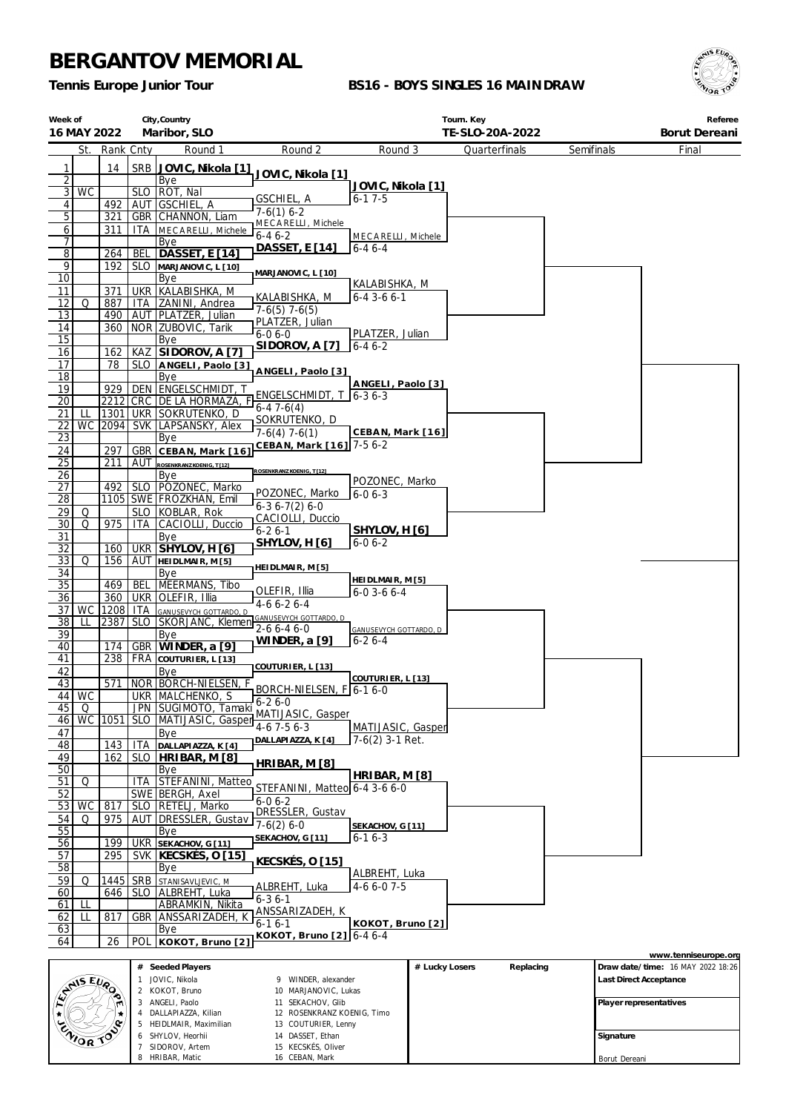6 SHYLOV, Heorhii 7 SIDOROV, Artem 8 HRIBAR, Matic

14 DASSET, Ethan 15 KECSKÉS, Oliver 16 CEBAN, Mark

*Tennis Europe Junior Tour*

### **BS16 - BOYS SINGLES 16 MAINDRAW**



| Week of               | City, Country<br>16 MAY 2022<br>Maribor, SLO |            |              |                                                 |                                             |                               |                | Tourn. Key<br>TE-SLO-20A-2022 |            |           | Referee<br>Borut Dereani          |
|-----------------------|----------------------------------------------|------------|--------------|-------------------------------------------------|---------------------------------------------|-------------------------------|----------------|-------------------------------|------------|-----------|-----------------------------------|
|                       | St.                                          | Rank Cnty  |              | Round 1                                         | Round 2                                     | Round 3                       |                | Quarterfinals                 | Semifinals |           | Final                             |
|                       |                                              |            |              |                                                 |                                             |                               |                |                               |            |           |                                   |
| 1<br>$\overline{2}$   |                                              | 14         | SRB          | JOVIC, Nikola [1]<br>Bye                        | JOVIC, Nikola [1]                           |                               |                |                               |            |           |                                   |
| 3                     | <b>WC</b>                                    |            |              | SLO   ROT, Nal                                  |                                             | JOVIC, Nikola [1]             |                |                               |            |           |                                   |
| 4                     |                                              | 492        |              | AUT GSCHIEL, A                                  | GSCHIEL, A                                  | $6 - 17 - 5$                  |                |                               |            |           |                                   |
| 5                     |                                              | 321        |              | GBR CHANNON, Liam                               | $7-6(1)$ 6-2<br>MECARELLI, Michele          |                               |                |                               |            |           |                                   |
| 6                     |                                              | 311        | ITA          | MECARELLI, Michele                              | $6 - 46 - 2$                                | MECARELLI, Michele            |                |                               |            |           |                                   |
| 7<br>8                |                                              | 264        | <b>BEL</b>   | Bye<br><b>DASSET, E [14]</b>                    | DASSET, E [14]                              | $6 - 46 - 4$                  |                |                               |            |           |                                   |
| 9                     |                                              | 192        |              | SLO MARJANOVIC, L [10]                          |                                             |                               |                |                               |            |           |                                   |
| 10                    |                                              |            |              | Bye                                             | MARJANOVIC, L [10]                          | KALABISHKA, M                 |                |                               |            |           |                                   |
| 11                    |                                              | 371        |              | UKR   KALABISHKA, M                             | KALABISHKA, M                               | $6 - 4$ 3 - 6 6 - 1           |                |                               |            |           |                                   |
| 12                    | Q                                            | 887        | ITA.         | ZANINI, Andrea                                  | $7-6(5)$ 7 $-6(5)$                          |                               |                |                               |            |           |                                   |
| 13<br>14              |                                              | 490<br>360 |              | AUT PLATZER, Julian<br>NOR ZUBOVIC, Tarik       | PLATZER, Julian                             |                               |                |                               |            |           |                                   |
| 15                    |                                              |            |              | Bye                                             | $6 - 06 - 0$                                | PLATZER, Julian               |                |                               |            |           |                                   |
| 16                    |                                              | 162        |              | KAZ SIDOROV, A [7]                              | SIDOROV, A [7]                              | $6 - 46 - 2$                  |                |                               |            |           |                                   |
| 17                    |                                              | 78         |              | SLO ANGELI, Paolo [3]                           |                                             |                               |                |                               |            |           |                                   |
| 18                    |                                              |            |              | Bye                                             | ANGELI, Paolo [3]                           | ANGELI, Paolo [3]             |                |                               |            |           |                                   |
| 19                    |                                              | 929        |              | DEN ENGELSCHMIDT, T                             | ENGELSCHMIDT, $T$ 6-3 6-3                   |                               |                |                               |            |           |                                   |
| 20<br>21              | LL                                           | 1301       |              | 2212 CRC DE LA HORMAZA, F<br>UKR SOKRUTENKO, D  | $6-47-6(4)$                                 |                               |                |                               |            |           |                                   |
| 22                    | <b>WC</b>                                    | 2094       |              | <b>SVK LAPSANSKY, Alex</b>                      | SOKRUTENKO, D                               |                               |                |                               |            |           |                                   |
| 23                    |                                              |            |              | Bye                                             | $7-6(4)$ 7-6(1)                             | CEBAN, Mark [16]              |                |                               |            |           |                                   |
| 24                    |                                              | 297        | GBR          | CEBAN, Mark [16]                                | CEBAN, Mark [16] 7-5 6-2                    |                               |                |                               |            |           |                                   |
| 25                    |                                              | 211        | AUT          | ROSENKRANZ KOENIG, T [12]                       | ROSENKRANZ KOENIG, T [12]                   |                               |                |                               |            |           |                                   |
| 26                    |                                              |            |              | Bye                                             |                                             | POZONEC, Marko                |                |                               |            |           |                                   |
| $\overline{27}$<br>28 |                                              | 492        |              | SLO   POZONEC, Marko<br>1105 SWE FROZKHAN, Emil | POZONEC, Marko                              | $6 - 06 - 3$                  |                |                               |            |           |                                   |
| 29                    | Q                                            |            |              | SLO KOBLAR, Rok                                 | $6-36-7(2)6-0$                              |                               |                |                               |            |           |                                   |
| 30                    | Q                                            | 975        | ITA          | CACIOLLI, Duccio                                | CACIOLLI, Duccio                            |                               |                |                               |            |           |                                   |
| 31                    |                                              |            |              | Bye                                             | 6-2 6-1<br>SHYLOV, H [6]                    | SHYLOV, H [6]<br>$6 - 06 - 2$ |                |                               |            |           |                                   |
| 32                    |                                              | 160        |              | UKR SHYLOV, H [6]                               |                                             |                               |                |                               |            |           |                                   |
| 33                    | Q                                            | 156        |              | AUT HEIDLMAIR, M[5]                             | HEIDLMAIR, M [5]                            |                               |                |                               |            |           |                                   |
| 34<br>35              |                                              | 469        | BEL          | Bye<br>MEERMANS, Tibo                           |                                             | HEI DLMAI R, M [5]            |                |                               |            |           |                                   |
| 36                    |                                              | 360 l      |              | UKR OLEFIR, Illia                               | OLEFIR, Illia                               | $6 - 03 - 66 - 4$             |                |                               |            |           |                                   |
| 37                    | <b>WC</b>                                    | 1208  ITA  |              | GANUSEVYCH GOTTARDO, D                          | $4-66-26-4$                                 |                               |                |                               |            |           |                                   |
| 38                    | Ш                                            | 2387       | SLO          | SKORJANC, Klemen                                | GANUSEVYCH GOTTARDO, D<br>$2 - 66 - 46 - 0$ | GANUSEVYCH GOTTARDO, D        |                |                               |            |           |                                   |
| 39                    |                                              |            |              | Bye                                             | WINDER, a [9]                               | $6 - 26 - 4$                  |                |                               |            |           |                                   |
| 40<br>41              |                                              | 174<br>238 | GBR<br>FRA   | WINDER, a [9]<br>COUTURIER, L [13]              |                                             |                               |                |                               |            |           |                                   |
| 42                    |                                              |            |              | Bye                                             | COUTURIER, L [13]                           |                               |                |                               |            |           |                                   |
| 43                    |                                              | 571        |              | NOR   BORCH-NIELSEN, F                          | BORCH-NIELSEN, F 6-1 6-0                    | COUTURIER, L [13]             |                |                               |            |           |                                   |
|                       | 44   WC                                      |            |              | UKR   MALCHENKO, S                              | $6 - 26 - 0$                                |                               |                |                               |            |           |                                   |
| 45                    | Q                                            |            |              | JPN SUGIMOTO, Tamaki                            | MATIJASIC, Gasper                           |                               |                |                               |            |           |                                   |
| 46<br>47              | <b>WC</b>                                    | 1051       |              | SLO   MATIJASIC, Gasper<br>Bye                  | $4-6$ 7 $-5$ 6 $-3$                         | MATIJASIC, Gasper             |                |                               |            |           |                                   |
| 48                    |                                              | 143        | ITA          | DALLAPIAZZA, K [4]                              | DALLAPIAZZA, K [4]                          | $7-6(2)$ 3-1 Ret.             |                |                               |            |           |                                   |
| 49                    |                                              | 162        | SLO          | HRIBAR, M [8]                                   |                                             |                               |                |                               |            |           |                                   |
| 50                    |                                              |            |              | Bye                                             | HRIBAR, M [8]                               | HRIBAR, M [8]                 |                |                               |            |           |                                   |
| 51                    | Q                                            |            | ITA          | STEFANINI, Matteo                               | STEFANINI, Matteo 6-4 3-6 6-0               |                               |                |                               |            |           |                                   |
| 52                    |                                              |            |              | SWE BERGH, Axel                                 | $6-06-2$                                    |                               |                |                               |            |           |                                   |
| 53<br>54              | WC<br>Q                                      | 817<br>975 | SLO  <br>AUT | RETELJ, Marko<br>DRESSLER, Gustav               | DRESSLER, Gustav                            |                               |                |                               |            |           |                                   |
| 55                    |                                              |            |              | Bye                                             | $7-6(2)$ 6-0                                | SEKACHOV, G [11]              |                |                               |            |           |                                   |
| 56                    |                                              | 199        |              | UKR SEKACHOV, G [11]                            | SEKACHOV, G [11]                            | $6 - 16 - 3$                  |                |                               |            |           |                                   |
| 57                    |                                              | 295        | SVK I        | KECSKÉS, O [15]                                 | <u>KECSKÉS, O [15]</u>                      |                               |                |                               |            |           |                                   |
| 58                    |                                              |            |              | Bye                                             |                                             | ALBREHT, Luka                 |                |                               |            |           |                                   |
| 59                    | Q                                            | 1445       | SRB          | STANISAVLJEVIC, M                               | ALBREHT, Luka                               | 4-6 6-0 7-5                   |                |                               |            |           |                                   |
| 60<br>61              | LL                                           | 646        | SLO          | ALBREHT, Luka<br>ABRAMKIN, Nikita               | $6 - 36 - 1$                                |                               |                |                               |            |           |                                   |
| 62                    | LL                                           | 817        | GBR          | ANSSARIZADEH, K                                 | ANSSARIZADEH, K                             |                               |                |                               |            |           |                                   |
| 63                    |                                              |            |              | Bye                                             | $6 - 16 - 1$                                | KOKOT, Bruno [2]              |                |                               |            |           |                                   |
| 64                    |                                              | 26         | POL          | KOKOT, Bruno [2]                                | KOKOT, Bruno [2] 6-4 6-4                    |                               |                |                               |            |           |                                   |
|                       |                                              |            |              |                                                 |                                             |                               |                |                               |            |           | www.tenniseurope.org              |
|                       |                                              |            |              | # Seeded Players                                |                                             |                               | # Lucky Losers | Replacing                     |            |           | Draw date/time: 16 MAY 2022 18:26 |
|                       | ANS EVA                                      |            |              | JOVIC, Nikola<br>2 KOKOT, Bruno                 | 9 WINDER, alexander<br>10 MARJANOVIC, Lukas |                               |                |                               |            |           | Last Direct Acceptance            |
|                       |                                              |            |              | 3 ANGELI, Paolo                                 | 11 SEKACHOV, Glib                           |                               |                |                               |            |           | Player representatives            |
|                       |                                              |            |              | 4 DALLAPIAZZA, Kilian                           | 12 ROSENKRANZ KOENIG, Timo                  |                               |                |                               |            |           |                                   |
|                       | ZNIOR TO                                     | .c         |              | 5 HEIDLMAIR, Maximilian<br>6 SHYLOV, Heorhii    | 13 COUTURIER, Lenny<br>14 DASSET, Ethan     |                               |                |                               |            | Signature |                                   |
|                       |                                              |            |              | 7 SIDOROV, Artem                                | 15 KECSKÉS, Oliver                          |                               |                |                               |            |           |                                   |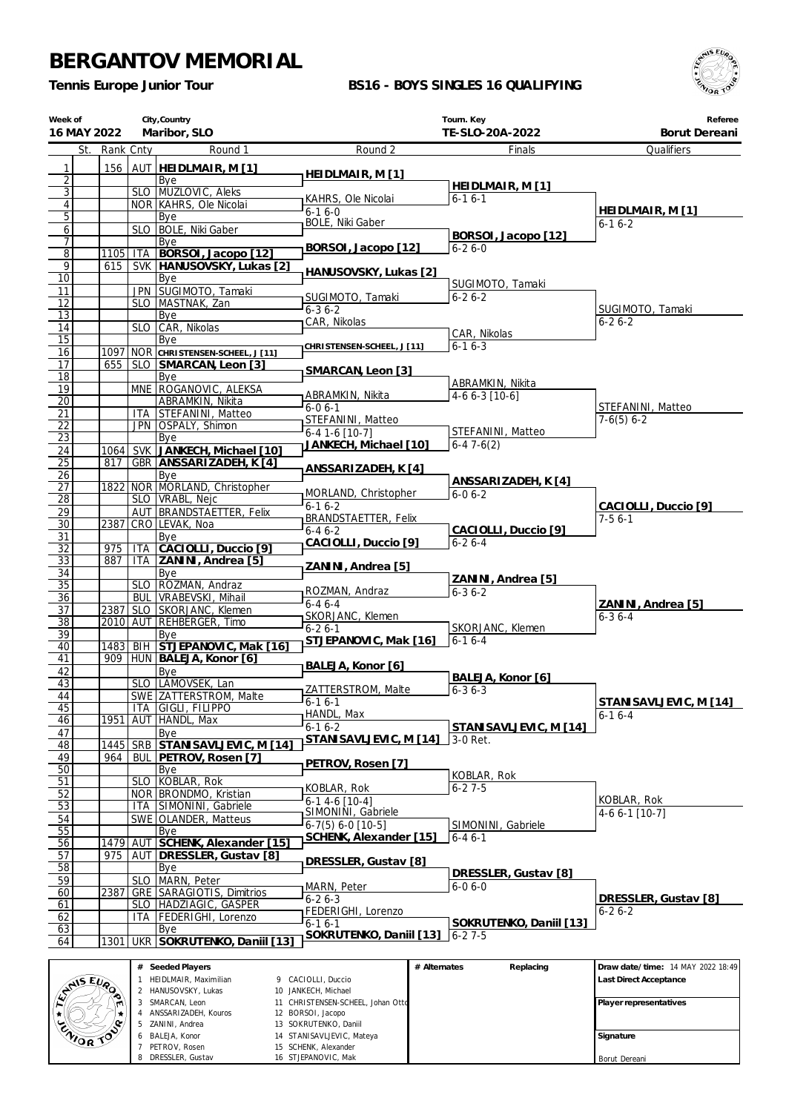ZANINI, Andrea BALEJA, Konor PETROV, Rosen DRESSLER, Gustav

 SOKRUTENKO, Daniil STANISAVLJEVIC, Mateya SCHENK, Alexander STJEPANOVIC, Mak

*Tennis Europe Junior Tour*

### **BS16 - BOYS SINGLES 16 QUALIFYING**



| Week of<br>16 MAY 2022 |             |            | City, Country<br>Maribor, SLO                        |                                                    | Tourn. Key<br>TE-SLO-20A-2022 | Referee<br>Borut Dereani          |
|------------------------|-------------|------------|------------------------------------------------------|----------------------------------------------------|-------------------------------|-----------------------------------|
| St.                    | Rank Cnty   |            | Round 1                                              | Round 2                                            | Finals                        | Qualifiers                        |
| 1                      | 156         |            | AUT <b>HEIDLMAIR, M[1]</b>                           |                                                    |                               |                                   |
| $\overline{2}$         |             |            | Bye                                                  | HEIDLMAIR, M [1]                                   |                               |                                   |
| $\overline{3}$         |             |            | SLO MUZLOVIC, Aleks                                  | KAHRS, Ole Nicolai                                 | HEIDLMAIR, M [1]<br>$6-16-1$  |                                   |
| $\vert 4 \vert$        |             |            | NOR KAHRS, Ole Nicolai                               | $6-16-0$                                           |                               | HEIDLMAIR, M [1]                  |
| 5<br>$6 \mid$          |             |            | Bye<br>SLO   BOLE, Niki Gaber                        | <b>BOLE, Niki Gaber</b>                            |                               | $6 - 16 - 2$                      |
| $\overline{7}$         |             |            | Bye                                                  |                                                    | BORSOI, Jacopo [12]           |                                   |
| $\overline{8}$         | 1105        | ITA        | BORSOI, Jacopo [12]                                  | BORSOI, Jacopo [12]                                | $6 - 26 - 0$                  |                                   |
| 9                      | 615         |            | SVK HANUSOVSKY, Lukas [2]                            | HANUSOVSKY, Lukas [2]                              |                               |                                   |
| $\overline{10}$        |             |            | Bye                                                  |                                                    | SUGIMOTO, Tamaki              |                                   |
| 11<br>12               |             |            | JPN SUGIMOTO, Tamaki<br>SLO   MASTNAK, Zan           | SUGIMOTO, Tamaki                                   | $6 - 26 - 2$                  |                                   |
| 13                     |             |            | Bye                                                  | $6 - 36 - 2$                                       |                               | SUGIMOTO, Tamaki                  |
| 14                     |             |            | SLO CAR, Nikolas                                     | CAR, Nikolas                                       |                               | $6 - 26 - 2$                      |
| 15                     |             |            | Bye                                                  | CHRISTENSEN-SCHEEL, J [11]                         | CAR, Nikolas<br>$6 - 16 - 3$  |                                   |
| 16                     | 1097        |            | NOR CHRISTENSEN-SCHEEL, J [11]                       |                                                    |                               |                                   |
| 17<br>18               | 655         |            | SLO SMARCAN, Leon [3]<br>Bye                         | SMARCAN, Leon [3]                                  |                               |                                   |
| 19                     |             |            | MNE ROGANOVIC, ALEKSA                                |                                                    | ABRAMKIN, Nikita              |                                   |
| $\overline{20}$        |             |            | ABRAMKIN, Nikita                                     | ABRAMKIN, Nikita                                   | $4-66-3$ [10-6]               |                                   |
| 21                     |             |            | ITA STEFANINI, Matteo                                | $6 - 06 - 1$<br>STEFANINI, Matteo                  |                               | STEFANINI, Matteo<br>$7-6(5) 6-2$ |
| $\overline{22}$        |             |            | JPN OSPALY, Shimon                                   | $6-4$ 1-6 [10-7]                                   | STEFANINI, Matteo             |                                   |
| 23                     |             |            | Bye                                                  | JANKECH, Michael [10]                              | $6-47-6(2)$                   |                                   |
| 24<br>$\overline{25}$  | 1064<br>817 |            | SVK JANKECH, Michael [10]<br>GBR ANSSARIZADEH, K [4] |                                                    |                               |                                   |
| 26                     |             |            | Bye                                                  | ANSSARIZADEH, K [4]                                |                               |                                   |
| 27                     | 1822        |            | NOR MORLAND, Christopher                             | MORLAND, Christopher                               | ANSSARIZADEH, K [4]           |                                   |
| $\overline{28}$        |             |            | SLO   VRABL, Nejc                                    | $6 - 16 - 2$                                       | $6 - 06 - 2$                  | CACIOLLI, Duccio [9]              |
| 29                     |             |            | AUT BRANDSTAETTER, Felix                             | BRANDSTAETTER, Felix                               |                               | $7-56-1$                          |
| $\overline{30}$<br>31  | 2387        |            | CRO LEVAK, Noa<br>Bye                                | $6 - 46 - 2$                                       | CACIOLLI, Duccio [9]          |                                   |
| $\overline{32}$        | 975         | <b>ITA</b> | CACIOLLI, Duccio [9]                                 | CACIOLLI, Duccio [9]                               | $6 - 26 - 4$                  |                                   |
| 33                     | 887         |            | ITA ZANINI, Andrea [5]                               |                                                    |                               |                                   |
| 34                     |             |            | Bye                                                  | ZANINI, Andrea [5]                                 | ZANINI, Andrea [5]            |                                   |
| $\overline{35}$        |             |            | SLO ROZMAN, Andraz                                   | ROZMAN, Andraz                                     | $6 - 36 - 2$                  |                                   |
| $\overline{36}$<br>37  | 2387        |            | BUL   VRABEVSKI, Mihail<br>SLO SKORJANC, Klemen      | $6-46-4$                                           |                               | ZANINI, Andrea [5]                |
| $\overline{38}$        |             |            | 2010 AUT REHBERGER, Timo                             | SKORJANC, Klemen                                   |                               | $6 - 36 - 4$                      |
| 39                     |             |            | Bye                                                  | $6 - 26 - 1$<br>STJEPANOVIC, Mak [16]              | SKORJANC, Klemen<br>$6-16-4$  |                                   |
| 40                     | 1483        |            | BIH STJEPANOVIC, Mak [16]                            |                                                    |                               |                                   |
| 41                     |             |            | 909   HUN   BALEJA, Konor [6]                        | BALEJA, Konor [6]                                  |                               |                                   |
| 42<br>43               |             |            | Bye<br>SLO LAMOVSEK, Lan                             |                                                    | BALEJA, Konor [6]             |                                   |
| 44                     |             |            | SWE ZATTERSTROM, Malte                               | ZATTERSTROM, Malte                                 | $6 - 36 - 3$                  |                                   |
| 45                     |             |            | ITA GIGLI, FILIPPO                                   | $6 - 16 - 1$<br>HANDL, Max                         |                               | STANISAVLJEVIC, M [14]            |
| 46                     | 1951        |            | AUT   HANDL, Max                                     | $6 - 16 - 2$                                       | STANISAVLJEVIC, M [14]        | $6 - 16 - 4$                      |
| 47                     |             |            | Bye                                                  | STANISAVLJEVIC, M [14]                             | 3-0 Ret.                      |                                   |
| 48<br>49               | 1445<br>964 |            | SRB STANISAVLJEVIC, M [14]<br>BUL PETROV, Rosen [7]  |                                                    |                               |                                   |
| 50                     |             |            | Bye                                                  | PETROV, Rosen [7]                                  |                               |                                   |
| 51                     |             |            | SLO KOBLAR, Rok                                      | KOBLAR, Rok                                        | KOBLAR, Rok<br>$6 - 27 - 5$   |                                   |
| 52                     |             |            | NOR BRONDMO, Kristian                                | $6-14-6$ [10-4]                                    |                               | KOBLAR, Rok                       |
| 53                     |             |            | ITA SIMONINI, Gabriele                               | SIMONINI, Gabriele                                 |                               | 4-6 6-1 [10-7]                    |
| 54<br>55               |             |            | SWE OLANDER, Matteus<br>Bye                          | $6-7(5) 6-0$ [10-5]                                | SIMONINI, Gabriele            |                                   |
| 56                     | 1479        |            | AUT SCHENK, Alexander [15]                           | SCHENK, Alexander [15]                             | $6 - 46 - 1$                  |                                   |
| 57                     | 975         | AUT        | DRESSLER, Gustav [8]                                 |                                                    |                               |                                   |
| 58                     |             |            | Bye                                                  | DRESSLER, Gustav [8]                               | DRESSLER, Gustav [8]          |                                   |
| 59                     |             |            | SLO MARN, Peter                                      | MARN, Peter                                        | $6 - 06 - 0$                  |                                   |
| 60<br>61               | 2387        |            | GRE SARAGIOTIS, Dimitrios<br>SLO HADŽIAGIC, GAŠPER   | $6 - 26 - 3$                                       |                               | DRESSLER, Gustav [8]              |
| 62                     |             | ITA        | FEDERIGHI, Lorenzo                                   | <b>FEDERIGHI, Lorenzo</b>                          |                               | $6 - 26 - 2$                      |
| 63                     |             |            | Bye                                                  | $6 - 16 - 1$                                       | SOKRUTENKO, Daniil [13]       |                                   |
| 64                     | 1301        | <b>UKR</b> | SOKRUTENKO, Daniil [13]                              | SOKRUTENKO, Daniil [13]                            | $6 - 27 - 5$                  |                                   |
|                        |             |            |                                                      |                                                    |                               |                                   |
|                        |             |            | # Seeded Players                                     | # Alternates                                       | Replacing                     | Draw date/time: 14 MAY 2022 18:49 |
| <b>ANIS EURO</b>       |             | 1          | HEIDLMAIR, Maximilian<br>2 HANUSOVSKY, Lukas         | 9 CACIOLLI, Duccio<br>10 JANKECH, Michael          |                               | Last Direct Acceptance            |
|                        |             |            | SMARCAN, Leon                                        | 11 CHRISTENSEN-SCHEEL, Johan Ottd                  |                               | Player representatives            |
| $\star$                | œ           | 4          | ANSSARIZADEH, Kouros                                 | 12 BORSOI, Jacopo                                  |                               |                                   |
| ZWORTOS                |             | 5          | ZANINI, Andrea<br>BALEJA, Konor                      | 13 SOKRUTENKO, Daniil<br>14 STANISAVLJEVIC, Mateya |                               | Signature                         |
|                        |             |            | PETROV. Rosen                                        | 15 SCHENK, Alexander                               |                               |                                   |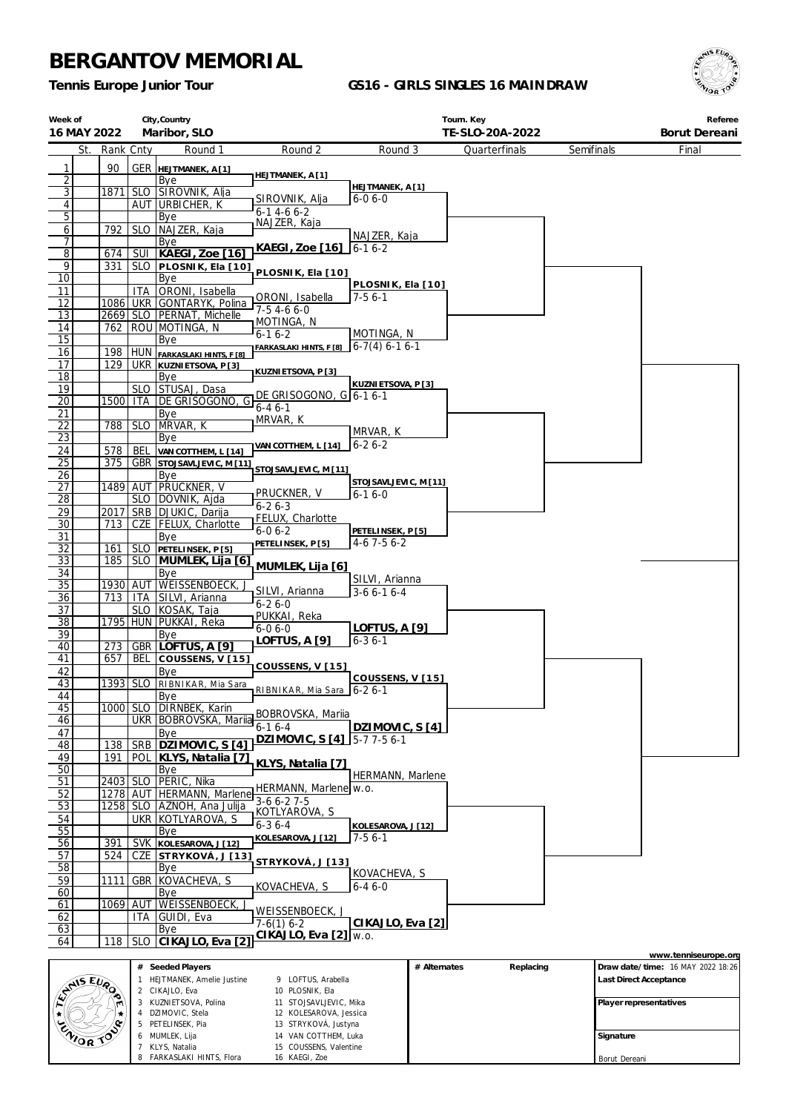DZIMOVIC, Stela PETELINSEK, Pia MUMLEK, Lija KLYS, Natalia 8 FARKASLAKI HINTS, Flora

 KOLESAROVA, Jessica STRYKOVÁ, Justyna VAN COTTHEM, Luka COUSSENS, Valentine KAEGI, Zoe

*Tennis Europe Junior Tour*

### **GS16 - GIRLS SINGLES 16 MAINDRAW**



| Week of                        | City, Country<br>Maribor, SLO<br>16 MAY 2022 |                     |                                                  |                                                | Tourn. Key<br>TE-SLO-20A-2022 |              |               |            | Referee<br>Borut Dereani |                                   |
|--------------------------------|----------------------------------------------|---------------------|--------------------------------------------------|------------------------------------------------|-------------------------------|--------------|---------------|------------|--------------------------|-----------------------------------|
| St.                            |                                              |                     | Round 1                                          | Round 2                                        | Round 3                       |              |               | Semifinals |                          | Final                             |
|                                | Rank Cnty                                    |                     |                                                  |                                                |                               |              | Quarterfinals |            |                          |                                   |
| 1                              | 90                                           |                     | <b>GER HEJTMANEK, A[1]</b>                       | HEJTMANEK, A [1]                               |                               |              |               |            |                          |                                   |
| $\overline{2}$<br>$\mathbf{3}$ | 1871                                         |                     | Bye                                              |                                                | HEJTMANEK, A [1]              |              |               |            |                          |                                   |
| $\vert 4 \vert$                |                                              |                     | SLO SIROVNIK, Alja<br><u>AUT URBICHER, K</u>     | SIROVNIK, Alja                                 | $6 - 06 - 0$                  |              |               |            |                          |                                   |
| $\overline{5}$                 |                                              |                     | Bye                                              | $6 - 14 - 66 - 2$                              |                               |              |               |            |                          |                                   |
| 6                              | 792                                          |                     | SLO   NAJZER, Kaja                               | NAJZER, Kaja                                   |                               |              |               |            |                          |                                   |
| 7                              |                                              |                     | Bye                                              |                                                | NAJZER, Kaja                  |              |               |            |                          |                                   |
| $\overline{8}$                 | 674                                          | SUI                 | KAEGI, Zoe [16]                                  | KAEGI, Zoe [16]  6-1 6-2                       |                               |              |               |            |                          |                                   |
| $\overline{9}$                 | 331                                          |                     | SLO PLOSNIK, Ela [10]                            | PLOSNIK, Ela [10]                              |                               |              |               |            |                          |                                   |
| 10                             |                                              |                     | Bye                                              |                                                | PLOSNIK, Ela [10]             |              |               |            |                          |                                   |
| 11<br>12                       | 1086                                         | ITA                 | ORONI, Isabella<br>UKR GONTARYK, Polina          | ORONI, Isabella                                | $7-56-1$                      |              |               |            |                          |                                   |
| 13                             |                                              |                     | 2669 SLO PERNAT, Michelle                        | $7-54-66-0$                                    |                               |              |               |            |                          |                                   |
| 14                             | 762                                          |                     | ROU MOTINGA, N                                   | <sub>I</sub> MOTINGA, N                        |                               |              |               |            |                          |                                   |
| 15                             |                                              |                     | Bye                                              | $6 - 16 - 2$                                   | MOTINGA, N                    |              |               |            |                          |                                   |
| 16                             | 198                                          |                     | HUN FARKASLAKI HINTS, F [8]                      | FARKASLAKI HINTS, F [8]                        | $6-7(4) 6-1 6-1$              |              |               |            |                          |                                   |
| 17                             | 129                                          |                     | <b>UKR KUZNIETSOVA, P[3]</b>                     | KUZNI ETSOVA, P [3]                            |                               |              |               |            |                          |                                   |
| 18                             |                                              |                     | Bye                                              |                                                | KUZNI ETSOVA, P [3]           |              |               |            |                          |                                   |
| 19                             |                                              |                     | SLO STUSAJ, Dasa                                 | DE GRISOGONO, G 6-1 6-1                        |                               |              |               |            |                          |                                   |
| $\overline{20}$                | 1500                                         | ITA                 | DE GRISOGONO,<br>G                               | $6 - 46 - 1$                                   |                               |              |               |            |                          |                                   |
| 21<br>22                       | 788                                          | <b>SLO</b>          | Bye<br>MRVAR, K                                  | MRVAR, K                                       |                               |              |               |            |                          |                                   |
| $\overline{23}$                |                                              |                     | Bye                                              |                                                | MRVAR, K                      |              |               |            |                          |                                   |
| 24                             | 578                                          | <b>BEL</b>          | VAN COTTHEM, L [14]                              | VAN COTTHEM, L [14]                            | $6 - 26 - 2$                  |              |               |            |                          |                                   |
| 25                             | 375                                          |                     | <b>GBR</b> STOJSAVLJEVIC, M [11]                 |                                                |                               |              |               |            |                          |                                   |
| 26                             |                                              |                     | Bye                                              | STOJSAVLJEVIC, M [11]                          | STOJSAVLJEVIC, M [11]         |              |               |            |                          |                                   |
| 27                             |                                              |                     | 1489 AUT PRUCKNER, V                             | PRUCKNER, V                                    | $6 - 16 - 0$                  |              |               |            |                          |                                   |
| $\overline{28}$                |                                              |                     | SLO   DOVNIK, Ajda                               | $6 - 26 - 3$                                   |                               |              |               |            |                          |                                   |
| 29<br>30                       | 2017<br>713                                  |                     | SRB   DJUKIC, Darija<br>CZE   FELUX, Charlotte   | FELUX, Charlotte                               |                               |              |               |            |                          |                                   |
| 31                             |                                              |                     | Bye                                              | $6 - 06 - 2$                                   | PETELINSEK, P[5]              |              |               |            |                          |                                   |
| $\overline{32}$                | 161                                          |                     | SLO PETELINSEK, P[5]                             | PETELINSEK, P [5]                              | $4-6$ 7 $-5$ 6 $-2$           |              |               |            |                          |                                   |
| 33                             | 185                                          |                     | SLO MUMLEK, Lija [6]                             |                                                |                               |              |               |            |                          |                                   |
| 34                             |                                              |                     | Bye                                              | MUMLEK, Lija [6]                               |                               |              |               |            |                          |                                   |
| 35                             | 1930 AUT                                     |                     | WEISSENBOECK,                                    | SILVI, Arianna                                 | SILVI, Arianna<br>$3-66-16-4$ |              |               |            |                          |                                   |
| <u>36</u>                      | 713                                          | ITA                 | SILVI, Arianna                                   | $6 - 26 - 0$                                   |                               |              |               |            |                          |                                   |
| 37<br>$\overline{38}$          |                                              |                     | SLO KOSAK, Taja<br>1795 HUN PUKKAI, Reka         | PUKKAI, Reka                                   |                               |              |               |            |                          |                                   |
| 39                             |                                              |                     | Bye                                              | $6 - 06 - 0$                                   | <b>LOFTUS, A [9]</b>          |              |               |            |                          |                                   |
| 40                             | 273                                          |                     | GBR LOFTUS, A [9]                                | LOFTUS, A [9]                                  | $6 - 36 - 1$                  |              |               |            |                          |                                   |
| 41                             | 657                                          | BEL                 | COUSSENS, V [15]                                 |                                                |                               |              |               |            |                          |                                   |
| 42                             |                                              |                     | Bye                                              | COUSSENS, V [15]                               |                               |              |               |            |                          |                                   |
| 43                             | 1393   SLO                                   |                     | RIBNIKAR, Mia Sara                               | RIBNIKAR, Mia Sara   6-2 6-1                   | COUSSENS, V [15]              |              |               |            |                          |                                   |
| 44                             |                                              |                     | Bye                                              |                                                |                               |              |               |            |                          |                                   |
| 45<br>46                       |                                              |                     | 1000 SLO DIRNBEK, Karin<br>UKR BOBROVSKA, Mariia | BOBROVSKA, Mariia                              |                               |              |               |            |                          |                                   |
| 47                             |                                              |                     | Bye                                              | $6 - 16 - 4$                                   | DZIMOVIC, S [4]               |              |               |            |                          |                                   |
| 48                             | 138                                          | SRB                 | DZIMOVIC, S[4]                                   | DZIMOVIC, S [4] 5-7 7-5 6-1                    |                               |              |               |            |                          |                                   |
| 49                             | 191                                          | <b>POL</b>          | KLYS, Natalia [7]                                |                                                |                               |              |               |            |                          |                                   |
| 50                             |                                              |                     | Bye                                              | KLYS, Natalia [7]                              |                               |              |               |            |                          |                                   |
| 51                             | 2403                                         | <b>SLO</b>          | PERIC, Nika                                      | HERMANN, Marlene w.o.                          | <b>HERMANN, Marlene</b>       |              |               |            |                          |                                   |
| 52                             |                                              |                     | 1278   AUT   HERMANN, Marlene                    | $3-66-27-5$                                    |                               |              |               |            |                          |                                   |
| 53                             | 1258                                         |                     | SLO AZNOH, Ana Julija                            | KOTLYAROVA, S                                  |                               |              |               |            |                          |                                   |
| 54                             |                                              | <b>UKR</b>          | KOTLYAROVA, S                                    | $6 - 36 - 4$                                   | KOLESAROVA, J [12]            |              |               |            |                          |                                   |
| 55                             |                                              |                     | Bye                                              | KOLESAROVA, J [12]                             | $7-56-1$                      |              |               |            |                          |                                   |
| 56<br>57                       | 391<br>524                                   | <b>SVK</b><br>CZE   | KOLESAROVA, J [12]                               |                                                |                               |              |               |            |                          |                                   |
| 58                             |                                              |                     | STRYKOVÁ, J [13]<br>Bye                          | STRYKOVÁ, J [13]                               |                               |              |               |            |                          |                                   |
| 59                             | 1111                                         | GBR                 | KOVACHEVA, S                                     |                                                | KOVACHEVA, S                  |              |               |            |                          |                                   |
| 60                             |                                              |                     | Bye                                              | KOVACHEVA, S                                   | $6 - 46 - 0$                  |              |               |            |                          |                                   |
| 61                             | 1069                                         | AUT                 | WEISSENBOECK,                                    |                                                |                               |              |               |            |                          |                                   |
| 62                             |                                              | ITA                 | GUIDI, Eva                                       | WEISSENBOECK, J<br>$7-6(1)$ 6-2                | CIKAJLO, Eva [2]              |              |               |            |                          |                                   |
| 63                             |                                              |                     | Bye                                              | CIKAJLO, Eva [2] w.o.                          |                               |              |               |            |                          |                                   |
| 64                             | 118                                          | <b>SLO</b>          | CIKAJLO, Eva [2]                                 |                                                |                               |              |               |            |                          |                                   |
|                                |                                              |                     |                                                  |                                                |                               |              |               |            |                          | www.tenniseurope.org              |
|                                |                                              |                     | # Seeded Players<br>HEJTMANEK, Amelie Justine    | 9 LOFTUS, Arabella                             |                               | # Alternates | Replacing     |            | Last Direct Acceptance   | Draw date/time: 16 MAY 2022 18:26 |
| ANS EVA                        |                                              | $\overline{2}$      | CIKAJLO, Eva                                     | 10 PLOSNIK, Ela                                |                               |              |               |            |                          |                                   |
|                                |                                              |                     | 3 KUZNIETSOVA, Polina                            | 11 STOJSAVLJEVIC, Mika                         |                               |              |               |            | Player representatives   |                                   |
|                                |                                              |                     | 4 DZIMOVIC, Stela                                | 12 KOLESAROVA, Jessica                         |                               |              |               |            |                          |                                   |
| ENOR TO                        |                                              |                     | 5 PETELINSEK, Pia                                | 13 STRYKOVÁ, Justyna                           |                               |              |               |            |                          |                                   |
|                                |                                              | 6<br>$\overline{7}$ | MUMLEK, Lija<br>KLYS, Natalia                    | 14 VAN COTTHEM, Luka<br>15 COUSSENS, Valentine |                               |              |               |            | Signature                |                                   |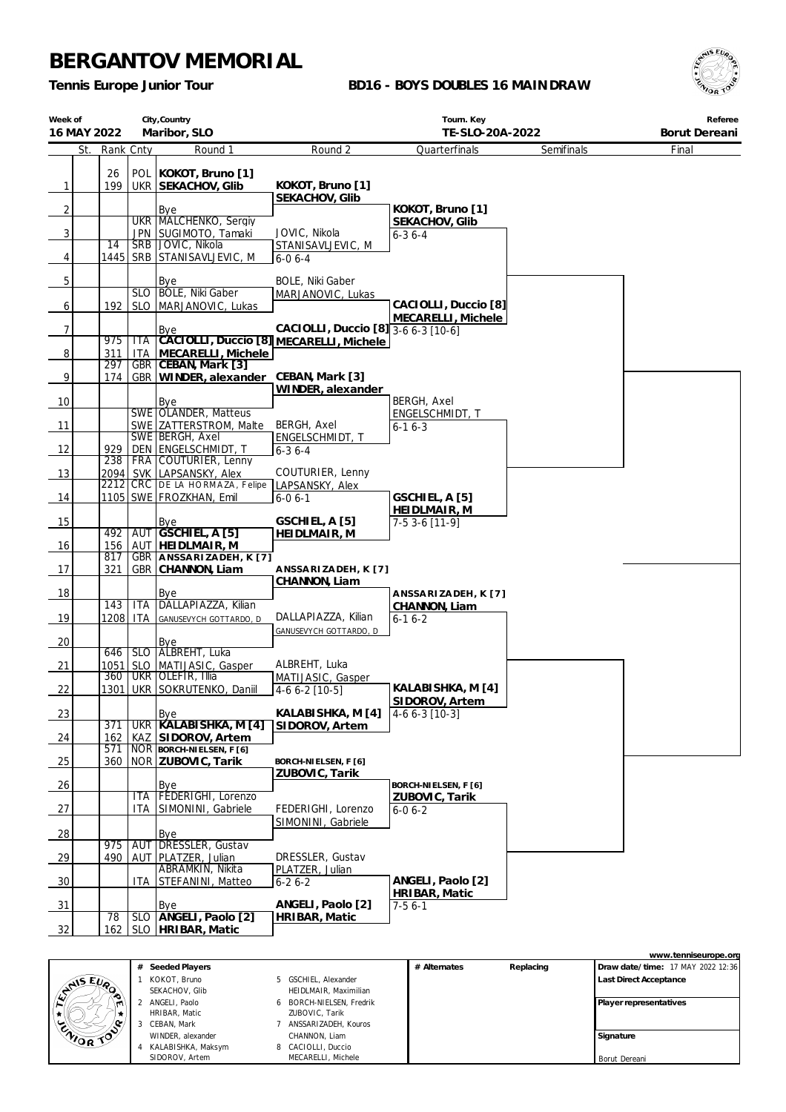*Tennis Europe Junior Tour*

### **BD16 - BOYS DOUBLES 16 MAINDRAW**



| Week of        |     |                 |            | City, Country                                      |                                                                                | Tourn. Key                            |            | Referee       |
|----------------|-----|-----------------|------------|----------------------------------------------------|--------------------------------------------------------------------------------|---------------------------------------|------------|---------------|
| 16 MAY 2022    |     |                 |            | Maribor, SLO                                       |                                                                                | TE-SLO-20A-2022                       |            | Borut Dereani |
|                | St. | Rank Cnty       |            | Round 1                                            | Round 2                                                                        | Quarterfinals                         | Semifinals | Final         |
|                |     | 26              |            | POL KOKOT, Bruno [1]                               |                                                                                |                                       |            |               |
| $\mathbf{1}$   |     | 199             |            | UKR SEKACHOV, Glib                                 | KOKOT, Bruno [1]                                                               |                                       |            |               |
|                |     |                 |            |                                                    | SEKACHOV, Glib                                                                 |                                       |            |               |
| $\overline{2}$ |     |                 |            | Bye<br>UKR   MALCHENKO, Sergiy                     |                                                                                | KOKOT, Bruno [1]                      |            |               |
| 3              |     |                 |            | JPN SUGIMOTO, Tamaki                               | JOVIC, Nikola                                                                  | SEKACHOV, Glib<br>$6 - 36 - 4$        |            |               |
|                |     | $\overline{14}$ |            | SRB JOVIC, Nikola                                  | STANISAVLJEVIC, M                                                              |                                       |            |               |
| 4              |     |                 |            | 1445   SRB   STANISAVLJEVIC, M                     | $6 - 06 - 4$                                                                   |                                       |            |               |
| 5              |     |                 |            |                                                    | <b>BOLE, Niki Gaber</b>                                                        |                                       |            |               |
|                |     |                 |            | Bye<br>SLO BOLE, Niki Gaber                        | MARJANOVIC, Lukas                                                              |                                       |            |               |
| 6              |     | 192             | <b>SLO</b> | MARJANOVIC, Lukas                                  |                                                                                | CACIOLLI, Duccio [8]                  |            |               |
|                |     |                 |            |                                                    |                                                                                | MECARELLI, Michele                    |            |               |
| 7              |     | 975             | <b>ITA</b> | Bye                                                | CACIOLLI, Duccio [8] 3-6 6-3 [10-6]<br>CACIOLLI, Duccio [8] MECARELLI, Michele |                                       |            |               |
| 8              |     | 311             | <b>ITA</b> | MECARELLI, Michele                                 |                                                                                |                                       |            |               |
|                |     | 297             | <b>GBR</b> | CEBAN, Mark [3]                                    |                                                                                |                                       |            |               |
| 9              |     | 174             |            | GBR WINDER, alexander                              | CEBAN, Mark [3]                                                                |                                       |            |               |
|                |     |                 |            |                                                    | WINDER, alexander                                                              |                                       |            |               |
| 10             |     |                 |            | Bye<br>SWE OLANDER, Matteus                        |                                                                                | <b>BERGH, Axel</b><br>ENGELSCHMIDT, T |            |               |
| 11             |     |                 |            | SWE ZATTERSTROM, Malte                             | BERGH, Axel                                                                    | $6 - 16 - 3$                          |            |               |
|                |     |                 |            | SWE BERGH, Axel                                    | ENGELSCHMIDT, T                                                                |                                       |            |               |
| 12             |     | 929             |            | DEN ENGELSCHMIDT, T                                | $6 - 36 - 4$                                                                   |                                       |            |               |
| 13             |     | 238             |            | FRA COUTURIER, Lenny<br>2094   SVK LAPSANSKY, Alex | COUTURIER, Lenny                                                               |                                       |            |               |
|                |     |                 |            | 2212 CRC DE LA HORMAZA, Felipe                     | LAPSANSKY, Alex                                                                |                                       |            |               |
| 14             |     |                 |            | 1105   SWE   FROZKHAN, Emil                        | $6 - 06 - 1$                                                                   | GSCHIEL, A [5]                        |            |               |
|                |     |                 |            |                                                    |                                                                                | HEIDLMAIR, M                          |            |               |
| 15             |     |                 |            | Bye<br>492 AUT GSCHIEL, A [5]                      | GSCHIEL, A [5]<br>HEIDLMAIR, M                                                 | 7-5 3-6 [11-9]                        |            |               |
| 16             |     | 156             | AUT        | HEIDLMAIR, M                                       |                                                                                |                                       |            |               |
|                |     | 817             |            | GBR   ANSSARIZADEH, K [7]                          |                                                                                |                                       |            |               |
| 17             |     | 321             |            | GBR CHANNON, Liam                                  | ANSSARIZADEH, K [7]                                                            |                                       |            |               |
| 18             |     |                 |            | Bye                                                | CHANNON, Liam                                                                  | ANSSARIZADEH, K[7]                    |            |               |
|                |     | 143             | <b>ITA</b> | DALLAPIAZZA, Kilian                                |                                                                                | CHANNON, Liam                         |            |               |
| 19             |     | 1208            | <b>ITA</b> | GANUSEVYCH GOTTARDO, D                             | DALLAPIAZZA, Kilian                                                            | $6-16-2$                              |            |               |
|                |     |                 |            |                                                    | GANUSEVYCH GOTTARDO, D                                                         |                                       |            |               |
| 20             |     | 646             |            | Bye<br>SLO ALBREHT, Luka                           |                                                                                |                                       |            |               |
| 21             |     | 1051            | <b>SLO</b> | MATIJASIC, Gasper                                  | ALBREHT, Luka                                                                  |                                       |            |               |
|                |     | 360             | <b>UKR</b> | OLEFIR, Illia                                      | MATIJASIC, Gasper                                                              |                                       |            |               |
| 22             |     | 1301            |            | UKR SOKRUTENKO, Daniil                             | 4-6 6-2 [10-5]                                                                 | KALABISHKA, M [4]<br>SIDOROV, Artem   |            |               |
| 23             |     |                 |            | Bye                                                | KALABISHKA, M [4]                                                              | $4-66-3$ [10-3]                       |            |               |
|                |     | 371             |            | UKR KALABISHKA, M [4]                              | SIDOROV, Artem                                                                 |                                       |            |               |
| 24             |     | 162             | KAZ        | SIDOROV, Artem                                     |                                                                                |                                       |            |               |
| 25             |     | 571<br>360      |            | NOR BORCH-NIELSEN, F [6]<br> NOR   ZUBOVIC, Tarik  | BORCH-NIELSEN, F [6]                                                           |                                       |            |               |
|                |     |                 |            |                                                    | ZUBOVIC, Tarik                                                                 |                                       |            |               |
| 26             |     |                 |            | Bye                                                |                                                                                | BORCH-NIELSEN, F [6]                  |            |               |
|                |     |                 | ITA        | <b>FEDERIGHI</b> , Lorenzo                         |                                                                                | ZUBOVIC, Tarik                        |            |               |
| 27             |     |                 | ITA        | SIMONINI, Gabriele                                 | FEDERIGHI, Lorenzo<br>SIMONINI, Gabriele                                       | $6 - 06 - 2$                          |            |               |
| 28             |     |                 |            | Bye                                                |                                                                                |                                       |            |               |
|                |     | 975             | <b>AUT</b> | DRESSLER, Gustav                                   |                                                                                |                                       |            |               |
| 29             |     | 490             | AUT        | PLATZER, Julian                                    | DRESSLER, Gustav                                                               |                                       |            |               |
| 30             |     |                 | ITA        | ABRAMKIN, Nikita<br>STEFANINI, Matteo              | PLATZER, Julian<br>$6 - 26 - 2$                                                | ANGELI, Paolo [2]                     |            |               |
|                |     |                 |            |                                                    |                                                                                | HRIBAR, Matic                         |            |               |
| 31             |     |                 |            | Bye                                                | ANGELI, Paolo [2]                                                              | $7-56-1$                              |            |               |
|                |     | 78              |            | SLO ANGELI, Paolo [2]                              | HRIBAR, Matic                                                                  |                                       |            |               |
| 32             |     | 162             |            | SLO HRIBAR, Matic                                  |                                                                                |                                       |            |               |